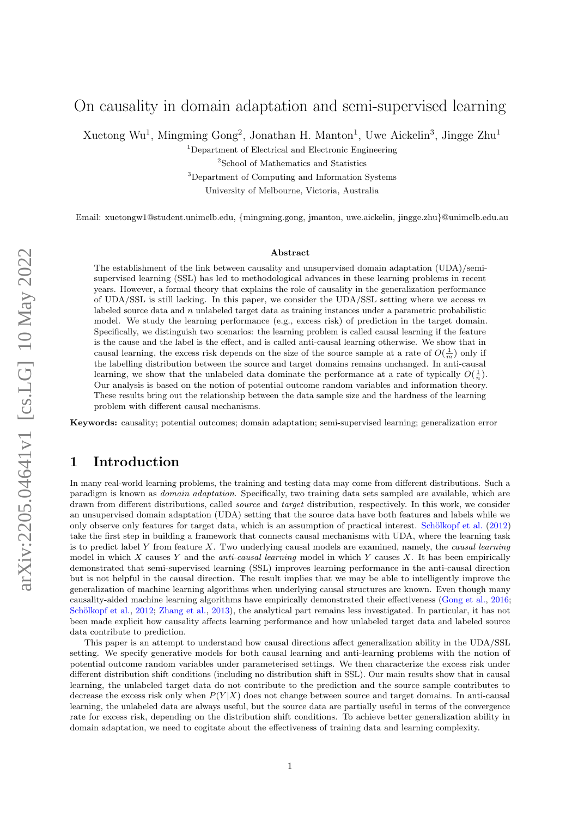# On causality in domain adaptation and semi-supervised learning

Xuetong Wu<sup>1</sup>, Mingming Gong<sup>2</sup>, Jonathan H. Manton<sup>1</sup>, Uwe Aickelin<sup>3</sup>, Jingge Zhu<sup>1</sup>

<sup>1</sup>Department of Electrical and Electronic Engineering

<sup>2</sup>School of Mathematics and Statistics

<sup>3</sup>Department of Computing and Information Systems

University of Melbourne, Victoria, Australia

Email: xuetongw1@student.unimelb.edu, {mingming.gong, jmanton, uwe.aickelin, jingge.zhu}@unimelb.edu.au

#### Abstract

The establishment of the link between causality and unsupervised domain adaptation (UDA)/semisupervised learning (SSL) has led to methodological advances in these learning problems in recent years. However, a formal theory that explains the role of causality in the generalization performance of UDA/SSL is still lacking. In this paper, we consider the UDA/SSL setting where we access m labeled source data and  $n$  unlabeled target data as training instances under a parametric probabilistic model. We study the learning performance (e.g., excess risk) of prediction in the target domain. Specifically, we distinguish two scenarios: the learning problem is called causal learning if the feature is the cause and the label is the effect, and is called anti-causal learning otherwise. We show that in causal learning, the excess risk depends on the size of the source sample at a rate of  $O(\frac{1}{m})$  only if the labelling distribution between the source and target domains remains unchanged. In anti-causal learning, we show that the unlabeled data dominate the performance at a rate of typically  $O(\frac{1}{n})$ . Our analysis is based on the notion of potential outcome random variables and information theory. These results bring out the relationship between the data sample size and the hardness of the learning problem with different causal mechanisms.

Keywords: causality; potential outcomes; domain adaptation; semi-supervised learning; generalization error

## 1 Introduction

In many real-world learning problems, the training and testing data may come from different distributions. Such a paradigm is known as domain adaptation. Specifically, two training data sets sampled are available, which are drawn from different distributions, called *source* and *target* distribution, respectively. In this work, we consider an unsupervised domain adaptation (UDA) setting that the source data have both features and labels while we only observe only features for target data, which is an assumption of practical interest. [Sch¨olkopf et al.](#page-11-0) [\(2012\)](#page-11-0) take the first step in building a framework that connects causal mechanisms with UDA, where the learning task is to predict label Y from feature X. Two underlying causal models are examined, namely, the causal learning model in which  $X$  causes  $Y$  and the *anti-causal learning* model in which  $Y$  causes  $X$ . It has been empirically demonstrated that semi-supervised learning (SSL) improves learning performance in the anti-causal direction but is not helpful in the causal direction. The result implies that we may be able to intelligently improve the generalization of machine learning algorithms when underlying causal structures are known. Even though many causality-aided machine learning algorithms have empirically demonstrated their effectiveness [\(Gong et al.,](#page-10-0) [2016;](#page-10-0) Schölkopf et al., [2012;](#page-11-0) [Zhang et al.,](#page-11-1) [2013\)](#page-11-1), the analytical part remains less investigated. In particular, it has not been made explicit how causality affects learning performance and how unlabeled target data and labeled source data contribute to prediction.

This paper is an attempt to understand how causal directions affect generalization ability in the UDA/SSL setting. We specify generative models for both causal learning and anti-learning problems with the notion of potential outcome random variables under parameterised settings. We then characterize the excess risk under different distribution shift conditions (including no distribution shift in SSL). Our main results show that in causal learning, the unlabeled target data do not contribute to the prediction and the source sample contributes to decrease the excess risk only when  $P(Y|X)$  does not change between source and target domains. In anti-causal learning, the unlabeled data are always useful, but the source data are partially useful in terms of the convergence rate for excess risk, depending on the distribution shift conditions. To achieve better generalization ability in domain adaptation, we need to cogitate about the effectiveness of training data and learning complexity.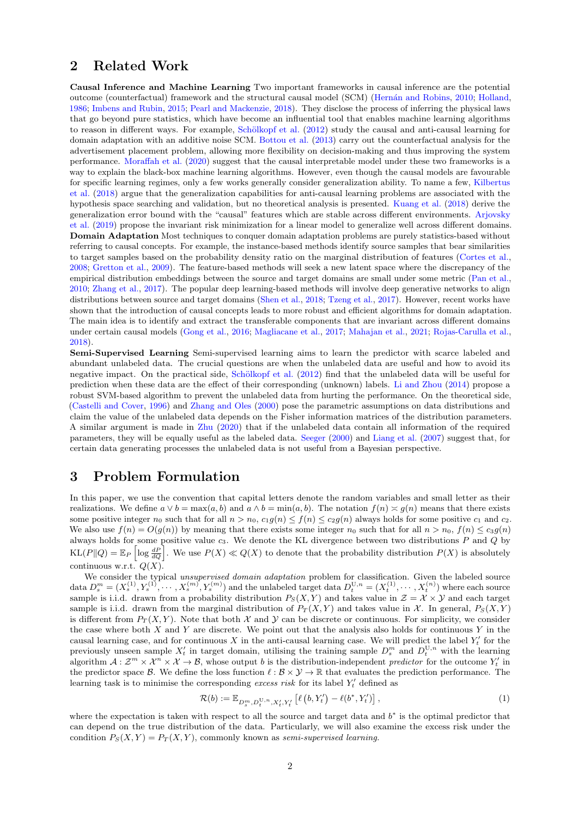## 2 Related Work

Causal Inference and Machine Learning Two important frameworks in causal inference are the potential outcome (counterfactual) framework and the structural causal model (SCM) (Hernán and Robins, [2010;](#page-10-1) [Holland,](#page-10-2) [1986;](#page-10-2) [Imbens and Rubin,](#page-10-3) [2015;](#page-10-3) [Pearl and Mackenzie,](#page-11-2) [2018\)](#page-11-2). They disclose the process of inferring the physical laws that go beyond pure statistics, which have become an influential tool that enables machine learning algorithms to reason in different ways. For example, Schölkopf et al. [\(2012\)](#page-11-0) study the causal and anti-causal learning for domain adaptation with an additive noise SCM. [Bottou et al.](#page-10-4) [\(2013\)](#page-10-4) carry out the counterfactual analysis for the advertisement placement problem, allowing more flexibility on decision-making and thus improving the system performance. [Moraffah et al.](#page-11-3) [\(2020\)](#page-11-3) suggest that the causal interpretable model under these two frameworks is a way to explain the black-box machine learning algorithms. However, even though the causal models are favourable for specific learning regimes, only a few works generally consider generalization ability. To name a few, [Kilbertus](#page-10-5) [et al.](#page-10-5) [\(2018\)](#page-10-5) argue that the generalization capabilities for anti-causal learning problems are associated with the hypothesis space searching and validation, but no theoretical analysis is presented. [Kuang et al.](#page-10-6) [\(2018\)](#page-10-6) derive the generalization error bound with the "causal" features which are stable across different environments. [Arjovsky](#page-10-7) [et al.](#page-10-7) [\(2019\)](#page-10-7) propose the invariant risk minimization for a linear model to generalize well across different domains. Domain Adaptation Most techniques to conquer domain adaptation problems are purely statistics-based without referring to causal concepts. For example, the instance-based methods identify source samples that bear similarities to target samples based on the probability density ratio on the marginal distribution of features [\(Cortes et al.,](#page-10-8) [2008;](#page-10-8) [Gretton et al.,](#page-10-9) [2009\)](#page-10-9). The feature-based methods will seek a new latent space where the discrepancy of the empirical distribution embeddings between the source and target domains are small under some metric [\(Pan et al.,](#page-11-4) [2010;](#page-11-4) [Zhang et al.,](#page-11-5) [2017\)](#page-11-5). The popular deep learning-based methods will involve deep generative networks to align distributions between source and target domains [\(Shen et al.,](#page-11-6) [2018;](#page-11-6) [Tzeng et al.,](#page-11-7) [2017\)](#page-11-7). However, recent works have shown that the introduction of causal concepts leads to more robust and efficient algorithms for domain adaptation. The main idea is to identify and extract the transferable components that are invariant across different domains under certain causal models [\(Gong et al.,](#page-10-0) [2016;](#page-10-0) [Magliacane et al.,](#page-10-10) [2017;](#page-10-10) [Mahajan et al.,](#page-10-11) [2021;](#page-10-11) [Rojas-Carulla et al.,](#page-11-8) [2018\)](#page-11-8).

Semi-Supervised Learning Semi-supervised learning aims to learn the predictor with scarce labeled and abundant unlabeled data. The crucial questions are when the unlabeled data are useful and how to avoid its negative impact. On the practical side, Schölkopf et al. [\(2012\)](#page-11-0) find that the unlabeled data will be useful for prediction when these data are the effect of their corresponding (unknown) labels. [Li and Zhou](#page-10-12) [\(2014\)](#page-10-12) propose a robust SVM-based algorithm to prevent the unlabeled data from hurting the performance. On the theoretical side, [\(Castelli and Cover,](#page-10-13) [1996\)](#page-10-13) and [Zhang and Oles](#page-11-9) [\(2000\)](#page-11-9) pose the parametric assumptions on data distributions and claim the value of the unlabeled data depends on the Fisher information matrices of the distribution parameters. A similar argument is made in [Zhu](#page-11-10) [\(2020\)](#page-11-10) that if the unlabeled data contain all information of the required parameters, they will be equally useful as the labeled data. [Seeger](#page-11-11) [\(2000\)](#page-11-11) and [Liang et al.](#page-10-14) [\(2007\)](#page-10-14) suggest that, for certain data generating processes the unlabeled data is not useful from a Bayesian perspective.

## 3 Problem Formulation

In this paper, we use the convention that capital letters denote the random variables and small letter as their realizations. We define  $a \vee b = \max(a, b)$  and  $a \wedge b = \min(a, b)$ . The notation  $f(n) \asymp g(n)$  means that there exists some positive integer  $n_0$  such that for all  $n > n_0$ ,  $c_1g(n) \leq f(n) \leq c_2g(n)$  always holds for some positive  $c_1$  and  $c_2$ . We also use  $f(n) = O(g(n))$  by meaning that there exists some integer  $n_0$  such that for all  $n > n_0$ ,  $f(n) \leq c_3 g(n)$ always holds for some positive value  $c_3$ . We denote the KL divergence between two distributions  $P$  and  $Q$  by  $KL(P||Q) = \mathbb{E}_P \left[ \log \frac{dP}{dQ} \right]$ . We use  $P(X) \ll Q(X)$  to denote that the probability distribution  $P(X)$  is absolutely continuous w.r.t.  $Q(X)$ .

We consider the typical unsupervised domain adaptation problem for classification. Given the labeled source data  $D_s^m = (X_s^{(1)}, Y_s^{(1)}, \cdots, X_s^{(m)}, Y_s^{(m)})$  and the unlabeled target data  $D_t^{U,n} = (X_t^{(1)}, \cdots, X_t^{(n)})$  where each source sample is i.i.d. drawn from a probability distribution  $P_S(X, Y)$  and takes value in  $\mathcal{Z} = \mathcal{X} \times \mathcal{Y}$  and each target sample is i.i.d. drawn from the marginal distribution of  $P_T(X, Y)$  and takes value in X. In general,  $P_S(X, Y)$ is different from  $P_T(X, Y)$ . Note that both X and Y can be discrete or continuous. For simplicity, we consider the case where both  $X$  and  $Y$  are discrete. We point out that the analysis also holds for continuous  $Y$  in the causal learning case, and for continuous X in the anti-causal learning case. We will predict the label  $Y'_t$  for the previously unseen sample  $X'_t$  in target domain, utilising the training sample  $D_s^m$  and  $D_t^{U,n}$  with the learning algorithm  $A: \mathcal{Z}^m \times \mathcal{X}^n \times \mathcal{X} \to \mathcal{B}$ , whose output b is the distribution-independent predictor for the outcome  $Y'_t$  in the predictor space B. We define the loss function  $\ell : \mathcal{B} \times \mathcal{Y} \to \mathbb{R}$  that evaluates the prediction performance. The learning task is to minimise the corresponding excess risk for its label  $Y_t'$  defined as

<span id="page-1-0"></span>
$$
\mathcal{R}(b) := \mathbb{E}_{D_s^m, D_t^{U,n}, X'_t, Y'_t} \left[ \ell(b, Y'_t) - \ell(b^*, Y'_t) \right],
$$
\n(1)

where the expectation is taken with respect to all the source and target data and  $b^*$  is the optimal predictor that can depend on the true distribution of the data. Particularly, we will also examine the excess risk under the condition  $P_S(X, Y) = P_T(X, Y)$ , commonly known as semi-supervised learning.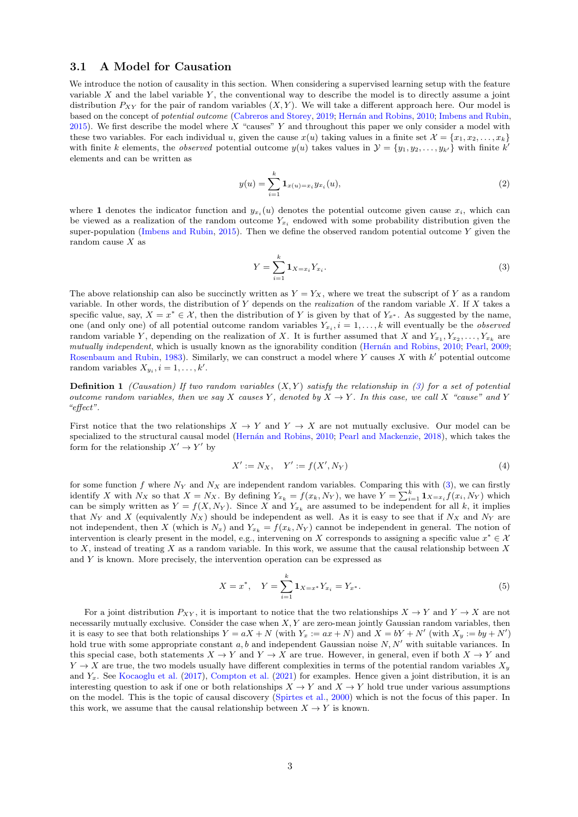#### 3.1 A Model for Causation

We introduce the notion of causality in this section. When considering a supervised learning setup with the feature variable  $X$  and the label variable  $Y$ , the conventional way to describe the model is to directly assume a joint distribution  $P_{XY}$  for the pair of random variables  $(X, Y)$ . We will take a different approach here. Our model is based on the concept of *potential outcome* [\(Cabreros and Storey,](#page-10-15) [2019;](#page-10-15) Hernán and Robins, [2010;](#page-10-1) [Imbens and Rubin,](#page-10-3) [2015\)](#page-10-3). We first describe the model where X "causes" Y and throughout this paper we only consider a model with these two variables. For each individual u, given the cause  $x(u)$  taking values in a finite set  $\mathcal{X} = \{x_1, x_2, \ldots, x_k\}$ with finite k elements, the *observed* potential outcome  $y(u)$  takes values in  $\mathcal{Y} = \{y_1, y_2, \ldots, y_{k'}\}$  with finite k' elements and can be written as

$$
y(u) = \sum_{i=1}^{k} \mathbf{1}_{x(u) = x_i} y_{x_i}(u),
$$
\n(2)

where 1 denotes the indicator function and  $y_{x_i}(u)$  denotes the potential outcome given cause  $x_i$ , which can be viewed as a realization of the random outcome  $Y_{x_i}$  endowed with some probability distribution given the super-population [\(Imbens and Rubin,](#page-10-3) [2015\)](#page-10-3). Then we define the observed random potential outcome  $Y$  given the random cause  $X$  as

<span id="page-2-0"></span>
$$
Y = \sum_{i=1}^{k} \mathbf{1}_{X = x_i} Y_{x_i}.
$$
 (3)

The above relationship can also be succinctly written as  $Y = Y_X$ , where we treat the subscript of Y as a random variable. In other words, the distribution of Y depends on the *realization* of the random variable X. If X takes a specific value, say,  $X = x^* \in \mathcal{X}$ , then the distribution of Y is given by that of  $Y_{x^*}$ . As suggested by the name, one (and only one) of all potential outcome random variables  $Y_{x_i}$ ,  $i = 1, \ldots, k$  will eventually be the *observed* random variable Y, depending on the realization of X. It is further assumed that X and  $Y_{x_1}, Y_{x_2}, \ldots, Y_{x_k}$  are mutually independent, which is usually known as the ignorability condition (Hernán and Robins, [2010;](#page-10-1) [Pearl,](#page-11-12) [2009;](#page-11-12) [Rosenbaum and Rubin,](#page-11-13) [1983\)](#page-11-13). Similarly, we can construct a model where Y causes  $X$  with  $k'$  potential outcome random variables  $X_{y_i}$ ,  $i = 1, ..., k'$ .

**Definition 1** (Causation) If two random variables  $(X, Y)$  satisfy the relationship in [\(3\)](#page-2-0) for a set of potential outcome random variables, then we say X causes Y, denoted by  $X \to Y$ . In this case, we call X "cause" and Y "effect".

First notice that the two relationships  $X \to Y$  and  $Y \to X$  are not mutually exclusive. Our model can be specialized to the structural causal model (Hernán and Robins, [2010;](#page-10-1) [Pearl and Mackenzie,](#page-11-2) [2018\)](#page-11-2), which takes the form for the relationship  $X' \to Y'$  by

<span id="page-2-1"></span>
$$
X' := N_X, \quad Y' := f(X', N_Y)
$$
\n(4)

for some function f where  $N_Y$  and  $N_X$  are independent random variables. Comparing this with [\(3\)](#page-2-0), we can firstly identify X with  $N_X$  so that  $X = N_X$ . By defining  $Y_{x_k} = f(x_k, N_Y)$ , we have  $Y = \sum_{i=1}^k \mathbf{1}_{X=x_i} f(x_i, N_Y)$  which can be simply written as  $Y = f(X, N_Y)$ . Since X and  $Y_{x_k}$  are assumed to be independent for all k, it implies that N<sub>Y</sub> and X (equivalently N<sub>X</sub>) should be independent as well. As it is easy to see that if N<sub>X</sub> and N<sub>Y</sub> are not independent, then X (which is  $N_x$ ) and  $Y_{x_k} = f(x_k, N_y)$  cannot be independent in general. The notion of intervention is clearly present in the model, e.g., intervening on X corresponds to assigning a specific value  $x^* \in \mathcal{X}$ to X, instead of treating X as a random variable. In this work, we assume that the causal relationship between X and Y is known. More precisely, the intervention operation can be expressed as

$$
X = x^*, \quad Y = \sum_{i=1}^{k} \mathbf{1}_{X=x^*} Y_{x_i} = Y_{x^*}.
$$
\n<sup>(5)</sup>

For a joint distribution  $P_{XY}$ , it is important to notice that the two relationships  $X \to Y$  and  $Y \to X$  are not necessarily mutually exclusive. Consider the case when  $X, Y$  are zero-mean jointly Gaussian random variables, then it is easy to see that both relationships  $Y = aX + N$  (with  $Y_x := ax + N$ ) and  $X = bY + N'$  (with  $X_y := by + N'$ ) hold true with some appropriate constant  $a, b$  and independent Gaussian noise  $N, N'$  with suitable variances. In this special case, both statements  $X \to Y$  and  $Y \to X$  are true. However, in general, even if both  $X \to Y$  and  $Y \to X$  are true, the two models usually have different complexities in terms of the potential random variables  $X_y$ and  $Y_x$ . See [Kocaoglu et al.](#page-10-16) [\(2017\)](#page-10-16), [Compton et al.](#page-10-17) [\(2021\)](#page-10-17) for examples. Hence given a joint distribution, it is an interesting question to ask if one or both relationships  $X \to Y$  and  $X \to Y$  hold true under various assumptions on the model. This is the topic of causal discovery [\(Spirtes et al.,](#page-11-14) [2000\)](#page-11-14) which is not the focus of this paper. In this work, we assume that the causal relationship between  $X \to Y$  is known.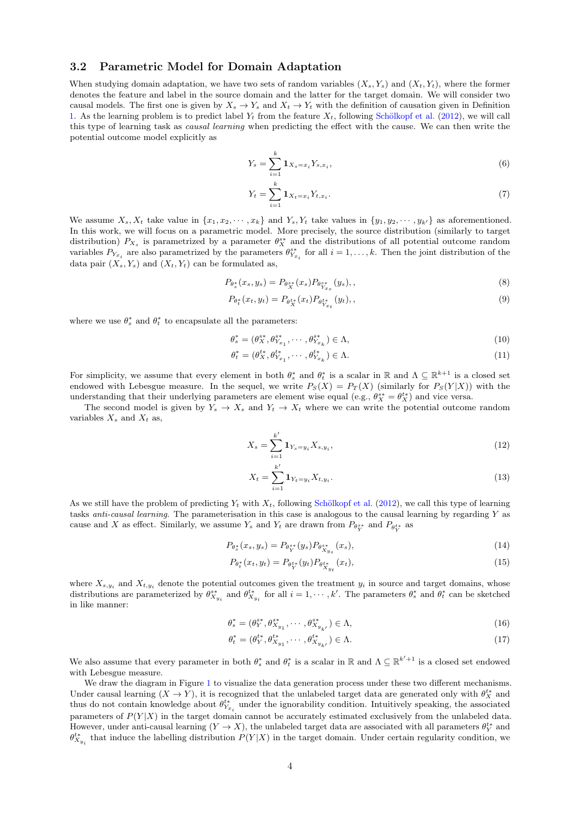#### 3.2 Parametric Model for Domain Adaptation

When studying domain adaptation, we have two sets of random variables  $(X_s, Y_s)$  and  $(X_t, Y_t)$ , where the former denotes the feature and label in the source domain and the latter for the target domain. We will consider two causal models. The first one is given by  $X_s \to Y_s$  and  $X_t \to Y_t$  with the definition of causation given in Definition [1.](#page-2-1) As the learning problem is to predict label  $Y_t$  from the feature  $X_t$ , following Schölkopf et al. [\(2012\)](#page-11-0), we will call this type of learning task as causal learning when predicting the effect with the cause. We can then write the potential outcome model explicitly as

$$
Y_s = \sum_{i=1}^k \mathbf{1}_{X_s = x_i} Y_{s, x_i},\tag{6}
$$

$$
Y_t = \sum_{i=1}^k \mathbf{1}_{X_t = x_i} Y_{t, x_i}.
$$
\n(7)

We assume  $X_s, X_t$  take value in  $\{x_1, x_2, \dots, x_k\}$  and  $Y_s, Y_t$  take values in  $\{y_1, y_2, \dots, y_{k'}\}$  as aforementioned. In this work, we will focus on a parametric model. More precisely, the source distribution (similarly to target distribution)  $P_{X_s}$  is parametrized by a parameter  $\theta_X^{s*}$  and the distributions of all potential outcome random variables  $P_{Y_{x_i}}$  are also parametrized by the parameters  $\theta^{s*}_{Y_{x_i}}$  for all  $i = 1, ..., k$ . Then the joint distribution of the data pair  $(X_s, Y_s)$  and  $(X_t, Y_t)$  can be formulated as,

$$
P_{\theta_s^*}(x_s, y_s) = P_{\theta_X^{s*}}(x_s) P_{\theta_{Y_{x_s}}^{s*}}(y_s), \qquad (8)
$$

$$
P_{\theta_t^*}(x_t, y_t) = P_{\theta_X^{t*}}(x_t) P_{\theta_{Y_{x_t}}^{t*}}(y_t), \qquad (9)
$$

where we use  $\theta_s^*$  and  $\theta_t^*$  to encapsulate all the parameters:

$$
\theta_s^* = (\theta_X^{s*}, \theta_{Y_{x_1}}^{s*}, \cdots, \theta_{Y_{x_k}}^{s*}) \in \Lambda,
$$
\n
$$
(10)
$$

$$
\theta_t^* = (\theta_{X}^{t*}, \theta_{Y_{x_1}}^{t*}, \cdots, \theta_{Y_{x_k}}^{t*}) \in \Lambda.
$$
\n(11)

For simplicity, we assume that every element in both  $\theta_s^*$  and  $\theta_t^*$  is a scalar in R and  $\Lambda \subseteq \mathbb{R}^{k+1}$  is a closed set endowed with Lebesgue measure. In the sequel, we write  $P_S(X) = P_T(X)$  (similarly for  $P_S(Y|X)$ ) with the understanding that their underlying parameters are element wise equal (e.g.,  $\theta_X^{s*} = \theta_X^{t*}$ ) and vice versa.

The second model is given by  $Y_s \to X_s$  and  $Y_t \to X_t$  where we can write the potential outcome random variables  $X_s$  and  $X_t$  as,

$$
X_s = \sum_{i=1}^{k'} \mathbf{1}_{Y_s = y_i} X_{s, y_i},\tag{12}
$$

$$
X_t = \sum_{i=1}^{k'} \mathbf{1}_{Y_t = y_i} X_{t, y_i}.
$$
\n(13)

As we still have the problem of predicting  $Y_t$  with  $X_t$ , following Schölkopf et al. [\(2012\)](#page-11-0), we call this type of learning tasks *anti-causal learning*. The parameterisation in this case is analogous to the causal learning by regarding  $Y$  as cause and X as effect. Similarly, we assume  $Y_s$  and  $Y_t$  are drawn from  $P_{\theta_Y^{s*}}$  and  $P_{\theta_Y^{t*}}$  as

$$
P_{\theta_s^*}(x_s, y_s) = P_{\theta_Y^{s*}}(y_s) P_{\theta_{X_{y_s}}^{s*}}(x_s),
$$
\n(14)

$$
P_{\theta_t^*}(x_t, y_t) = P_{\theta_Y^{t*}}(y_t) P_{\theta_{X_{y_t}}^{t*}}(x_t),
$$
\n(15)

where  $X_{s,y_i}$  and  $X_{t,y_i}$  denote the potential outcomes given the treatment  $y_i$  in source and target domains, whose distributions are parameterized by  $\theta_{X_{y_i}}^{s*}$  and  $\theta_{X_{y_i}}^{t*}$  for all  $i = 1, \dots, k'$ . The parameters  $\theta_s^*$  and  $\theta_t^*$  can be sketched in like manner:

$$
\theta_s^* = (\theta_Y^{s*}, \theta_{X_{y_1}}^{s*}, \cdots, \theta_{X_{y_{k'}}}^{s*}) \in \Lambda,
$$
\n(16)

$$
\theta_t^* = (\theta_Y^{t*}, \theta_{X_{y_1}}^{t*}, \cdots, \theta_{X_{y_{k'}}}^{t*}) \in \Lambda.
$$
\n(17)

We also assume that every parameter in both  $\theta_s^*$  and  $\theta_t^*$  is a scalar in R and  $\Lambda \subseteq \mathbb{R}^{k'+1}$  is a closed set endowed with Lebesgue measure.

We draw the diagram in Figure [1](#page-4-0) to visualize the data generation process under these two different mechanisms. Under causal learning  $(X \to Y)$ , it is recognized that the unlabeled target data are generated only with  $\theta_X^{t*}$  and thus do not contain knowledge about  $\theta_{Y_{x_i}}^{t*}$  under the ignorability condition. Intuitively speaking, the associated parameters of  $P(Y|X)$  in the target domain cannot be accurately estimated exclusively from the unlabeled data. However, under anti-causal learning  $(Y \to X)$ , the unlabeled target data are associated with all parameters  $\theta_Y^{t*}$  and  $\theta_{X_{y_i}}^{t*}$  that induce the labelling distribution  $P(Y|X)$  in the target domain. Under certain regularity condition, we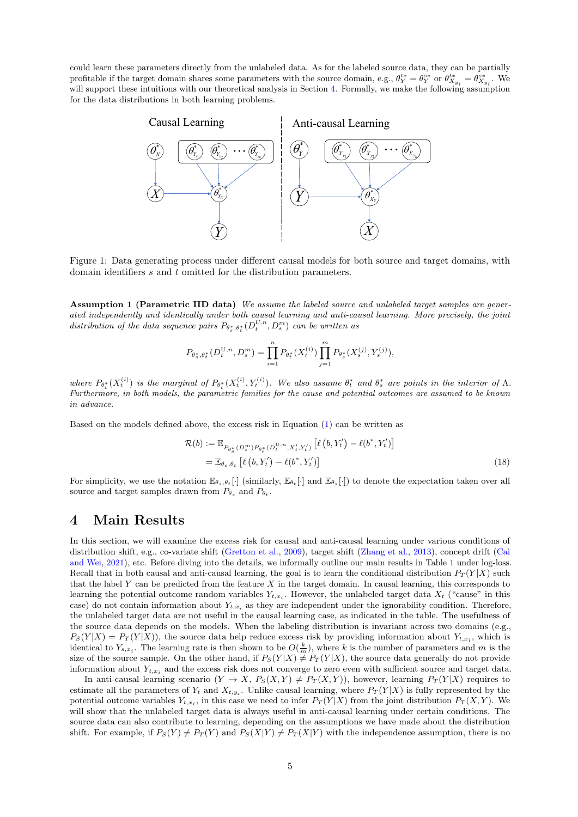could learn these parameters directly from the unlabeled data. As for the labeled source data, they can be partially profitable if the target domain shares some parameters with the source domain, e.g.,  $\theta_Y^{t*} = \theta_{Y}^{s*}$  or  $\theta_{X_{y_i}}^{t*} = \theta_{X_{y_i}}^{s*}$ . We will support these intuitions with our theoretical analysis in Section [4.](#page-4-1) Formally, we make the following assumption for the data distributions in both learning problems.



Figure 1: Data generating process under different causal models for both source and target domains, with domain identifiers s and t omitted for the distribution parameters.

<span id="page-4-2"></span>Assumption 1 (Parametric IID data) We assume the labeled source and unlabeled target samples are generated independently and identically under both causal learning and anti-causal learning. More precisely, the joint distribution of the data sequence pairs  $P_{\theta_s^*, \theta_t^*}(D_t^{U,n}, D_s^m)$  can be written as

<span id="page-4-0"></span>
$$
P_{\theta_s^*, \theta_t^*}(D_t^{\mathbf{U},n}, D_s^m) = \prod_{i=1}^n P_{\theta_t^*}(X_t^{(i)}) \prod_{j=1}^m P_{\theta_s^*}(X_s^{(j)}, Y_s^{(j)}),
$$

where  $P_{\theta_t^*}(X_t^{(i)})$  is the marginal of  $P_{\theta_t^*}(X_t^{(i)}, Y_t^{(i)})$ . We also assume  $\theta_t^*$  and  $\theta_s^*$  are points in the interior of  $\Lambda$ . Furthermore, in both models, the parametric families for the cause and potential outcomes are assumed to be known in advance.

Based on the models defined above, the excess risk in Equation [\(1\)](#page-1-0) can be written as

$$
\mathcal{R}(b) := \mathbb{E}_{P_{\theta_s^*}(D_s^m)P_{\theta_t^*}(D_t^{U,n}, X_t', Y_t')} \left[ \ell(b, Y_t') - \ell(b^*, Y_t') \right] \n= \mathbb{E}_{\theta_s, \theta_t} \left[ \ell(b, Y_t') - \ell(b^*, Y_t') \right]
$$
\n(18)

For simplicity, we use the notation  $\mathbb{E}_{\theta_s,\theta_t}[\cdot]$  (similarly,  $\mathbb{E}_{\theta_t}[\cdot]$  and  $\mathbb{E}_{\theta_s}[\cdot]$ ) to denote the expectation taken over all source and target samples drawn from  $P_{\theta_s}$  and  $P_{\theta_t}$ .

## <span id="page-4-1"></span>4 Main Results

In this section, we will examine the excess risk for causal and anti-causal learning under various conditions of distribution shift, e.g., co-variate shift [\(Gretton et al.,](#page-10-9) [2009\)](#page-10-9), target shift [\(Zhang et al.,](#page-11-1) [2013\)](#page-11-1), concept drift [\(Cai](#page-10-18) [and Wei,](#page-10-18) [2021\)](#page-10-18), etc. Before diving into the details, we informally outline our main results in Table [1](#page-5-0) under log-loss. Recall that in both causal and anti-causal learning, the goal is to learn the conditional distribution  $P_T(Y|X)$  such that the label  $Y$  can be predicted from the feature  $X$  in the target domain. In causal learning, this corresponds to learning the potential outcome random variables  $Y_{t,x_i}$ . However, the unlabeled target data  $X_t$  ("cause" in this case) do not contain information about  $Y_{t,x_i}$  as they are independent under the ignorability condition. Therefore, the unlabeled target data are not useful in the causal learning case, as indicated in the table. The usefulness of the source data depends on the models. When the labeling distribution is invariant across two domains (e.g.,  $P_S(Y|X) = P_T(Y|X)$ , the source data help reduce excess risk by providing information about  $Y_{t,x_i}$ , which is identical to  $Y_{s,x_i}$ . The learning rate is then shown to be  $O(\frac{k}{m})$ , where k is the number of parameters and m is the size of the source sample. On the other hand, if  $P_S(Y|X) \neq P_T(Y|X)$ , the source data generally do not provide information about  $Y_{t,x_i}$  and the excess risk does not converge to zero even with sufficient source and target data.

In anti-causal learning scenario  $(Y \to X, P_S(X, Y) \neq P_T(X, Y))$ , however, learning  $P_T(Y|X)$  requires to estimate all the parameters of  $Y_t$  and  $X_{t,y_i}$ . Unlike causal learning, where  $P_T(Y|X)$  is fully represented by the potential outcome variables  $Y_{t,x_i}$ , in this case we need to infer  $P_T(Y|X)$  from the joint distribution  $P_T(X,Y)$ . We will show that the unlabeled target data is always useful in anti-causal learning under certain conditions. The source data can also contribute to learning, depending on the assumptions we have made about the distribution shift. For example, if  $P_S(Y) \neq P_T(Y)$  and  $P_S(X|Y) \neq P_T(X|Y)$  with the independence assumption, there is no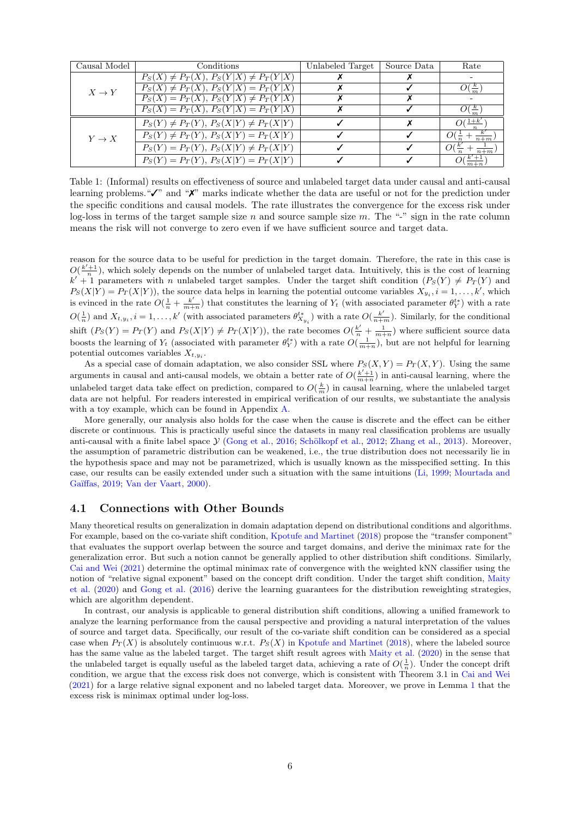<span id="page-5-0"></span>

| Causal Model      | Conditions                                   | Unlabeled Target | Source Data | Rate                      |
|-------------------|----------------------------------------------|------------------|-------------|---------------------------|
| $X \to Y$         | $P_S(X) \neq P_T(X), P_S(Y X) \neq P_T(Y X)$ |                  |             |                           |
|                   | $P_S(X) \neq P_T(X), P_S(Y X) = P_T(Y X)$    |                  |             | $O(\frac{\kappa}{m})$     |
|                   | $P_S(X) = P_T(X), P_S(Y X) \neq P_T(Y X)$    |                  |             |                           |
|                   | $P_S(X) = P_T(X), P_S(Y X) = P_T(Y X)$       |                  |             | $\frac{\kappa}{\kappa}$   |
| $Y \rightarrow X$ | $P_S(Y) \neq P_T(Y), P_S(X Y) \neq P_T(X Y)$ |                  |             | $O(\frac{1+k}{\epsilon})$ |
|                   | $P_S(Y) \neq P_T(Y), P_S(X Y) = P_T(X Y)$    |                  |             | $n+m$                     |
|                   | $P_S(Y) = P_T(Y), P_S(X Y) \neq P_T(X Y)$    |                  |             | O(<br>$n+m$               |
|                   | $P_S(Y) = P_T(Y), P_S(X Y) = P_T(X Y)$       |                  |             |                           |

Table 1: (Informal) results on effectiveness of source and unlabeled target data under causal and anti-causal learning problems."✓" and "✗" marks indicate whether the data are useful or not for the prediction under the specific conditions and causal models. The rate illustrates the convergence for the excess risk under log-loss in terms of the target sample size n and source sample size m. The "-" sign in the rate column means the risk will not converge to zero even if we have sufficient source and target data.

reason for the source data to be useful for prediction in the target domain. Therefore, the rate in this case is  $O(\frac{k'+1}{n})$ , which solely depends on the number of unlabeled target data. Intuitively, this is the cost of learning  $k' + 1$  parameters with n unlabeled target samples. Under the target shift condition  $(P_S(Y) \neq P_T(Y))$  and  $P_S(X|Y) = P_T(X|Y)$ , the source data helps in learning the potential outcome variables  $X_{y_i}$ ,  $i = 1, ..., k'$ , which is evinced in the rate  $O(\frac{1}{n} + \frac{k'}{m+1})$  $\frac{k'}{m+n}$ ) that constitutes the learning of  $Y_t$  (with associated parameter  $\theta_Y^{t*}$ ) with a rate  $O(\frac{1}{n})$  and  $X_{t,y_i}$ ,  $i = 1, ..., k'$  (with associated parameters  $\theta_{X_{y_i}}^{t*}$ ) with a rate  $O(\frac{k'}{n+m})$ . Similarly, for the conditional shift  $(P_S(Y) = P_T(Y)$  and  $P_S(X|Y) \neq P_T(X|Y)$ , the rate becomes  $O(\frac{k'}{n} + \frac{1}{m+n})$  where sufficient source data boosts the learning of  $Y_t$  (associated with parameter  $\theta_Y^{t*}$ ) with a rate  $O(\frac{1}{m+n})$ , but are not helpful for learning potential outcomes variables  $X_{t,y_i}$ .

As a special case of domain adaptation, we also consider SSL where  $P_S(X, Y) = P_T(X, Y)$ . Using the same arguments in causal and anti-causal models, we obtain a better rate of  $O(\frac{k'+1}{m+n})$  in anti-causal learning, where the unlabeled target data take effect on prediction, compared to  $O(\frac{k}{m})$  in causal learning, where the unlabeled target data are not helpful. For readers interested in empirical verification of our results, we substantiate the analysis with a toy example, which can be found in Appendix [A.](#page-11-15)

More generally, our analysis also holds for the case when the cause is discrete and the effect can be either discrete or continuous. This is practically useful since the datasets in many real classification problems are usually anti-causal with a finite label space  $\mathcal{Y}$  [\(Gong et al.,](#page-10-0) [2016;](#page-10-0) Schölkopf et al., [2012;](#page-11-0) [Zhang et al.,](#page-11-1) [2013\)](#page-11-1). Moreover, the assumption of parametric distribution can be weakened, i.e., the true distribution does not necessarily lie in the hypothesis space and may not be parametrized, which is usually known as the misspecified setting. In this case, our results can be easily extended under such a situation with the same intuitions [\(Li,](#page-10-19) [1999;](#page-10-19) [Mourtada and](#page-11-16) Gaïffas, [2019;](#page-11-16) [Van der Vaart,](#page-11-17) [2000\)](#page-11-17).

### 4.1 Connections with Other Bounds

Many theoretical results on generalization in domain adaptation depend on distributional conditions and algorithms. For example, based on the co-variate shift condition, [Kpotufe and Martinet](#page-10-20) [\(2018\)](#page-10-20) propose the "transfer component" that evaluates the support overlap between the source and target domains, and derive the minimax rate for the generalization error. But such a notion cannot be generally applied to other distribution shift conditions. Similarly, [Cai and Wei](#page-10-18) [\(2021\)](#page-10-18) determine the optimal minimax rate of convergence with the weighted kNN classifier using the notion of "relative signal exponent" based on the concept drift condition. Under the target shift condition, [Maity](#page-11-18) [et al.](#page-11-18) [\(2020\)](#page-11-18) and [Gong et al.](#page-10-0) [\(2016\)](#page-10-0) derive the learning guarantees for the distribution reweighting strategies, which are algorithm dependent.

In contrast, our analysis is applicable to general distribution shift conditions, allowing a unified framework to analyze the learning performance from the causal perspective and providing a natural interpretation of the values of source and target data. Specifically, our result of the co-variate shift condition can be considered as a special case when  $P_T(X)$  is absolutely continuous w.r.t.  $P_S(X)$  in [Kpotufe and Martinet](#page-10-20) [\(2018\)](#page-10-20), where the labeled source has the same value as the labeled target. The target shift result agrees with [Maity et al.](#page-11-18) [\(2020\)](#page-11-18) in the sense that the unlabeled target is equally useful as the labeled target data, achieving a rate of  $O(\frac{1}{n})$ . Under the concept drift condition, we argue that the excess risk does not converge, which is consistent with Theorem 3.1 in [Cai and Wei](#page-10-18) [\(2021\)](#page-10-18) for a large relative signal exponent and no labeled target data. Moreover, we prove in Lemma [1](#page-9-0) that the excess risk is minimax optimal under log-loss.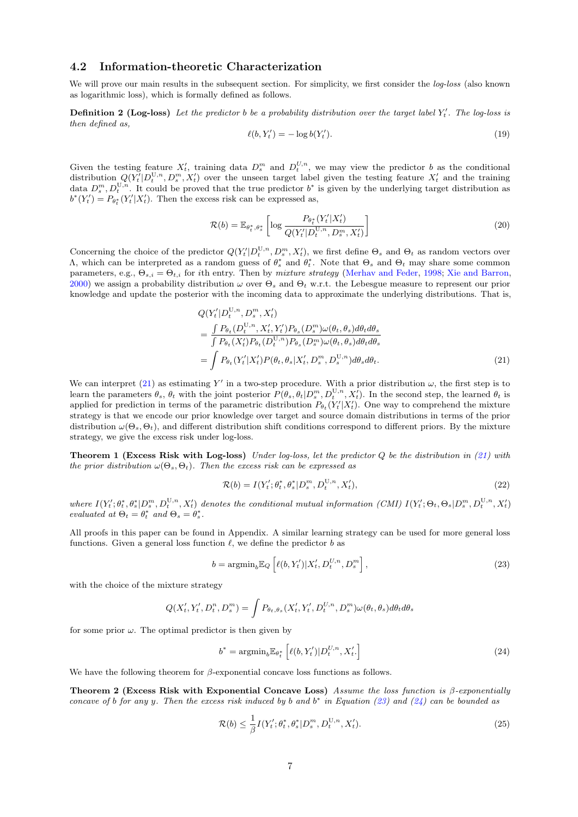#### 4.2 Information-theoretic Characterization

We will prove our main results in the subsequent section. For simplicity, we first consider the *log-loss* (also known as logarithmic loss), which is formally defined as follows.

**Definition 2 (Log-loss)** Let the predictor b be a probability distribution over the target label  $Y'_t$ . The log-loss is then defined as,

$$
\ell(b, Y_t') = -\log b(Y_t'). \tag{19}
$$

Given the testing feature  $X'_t$ , training data  $D_s^m$  and  $D_t^{U,n}$ , we may view the predictor b as the conditional distribution  $Q(Y_t'|D_t^{U,n}, D_s^m, X_t')$  over the unseen target label given the testing feature  $X_t'$  and the training data  $D_s^m, D_t^{U,n}$ . It could be proved that the true predictor  $b^*$  is given by the underlying target distribution as  $b^*(Y'_t) = P_{\theta_t^*}(Y'_t | X'_t)$ . Then the excess risk can be expressed as,

$$
\mathcal{R}(b) = \mathbb{E}_{\theta_t^*, \theta_s^*} \left[ \log \frac{P_{\theta_t^*}(Y_t'|X_t')}{Q(Y_t'|D_t^{U,n}, D_s^m, X_t')} \right]
$$
\n(20)

Concerning the choice of the predictor  $Q(Y_t'|D_t^{U,n}, D_s^m, X_t')$ , we first define  $\Theta_s$  and  $\Theta_t$  as random vectors over  $Λ$ , which can be interpreted as a random guess of  $θ_s^*$  and  $θ_t^*$ . Note that  $Θ_s$  and  $Θ_t$  may share some common parameters, e.g.,  $\Theta_{s,i} = \Theta_{t,i}$  for *i*th entry. Then by *mixture strategy* [\(Merhav and Feder,](#page-11-19) [1998;](#page-11-19) [Xie and Barron,](#page-11-20) [2000\)](#page-11-20) we assign a probability distribution  $\omega$  over  $\Theta_s$  and  $\Theta_t$  w.r.t. the Lebesgue measure to represent our prior knowledge and update the posterior with the incoming data to approximate the underlying distributions. That is,

<span id="page-6-0"></span>
$$
Q(Y'_t|D_t^{U,n}, D_s^m, X'_t)
$$
  
= 
$$
\frac{\int P_{\theta_t}(D_t^{U,n}, X'_t, Y'_t)P_{\theta_s}(D_s^m)\omega(\theta_t, \theta_s)d\theta_t d\theta_s}{\int P_{\theta_t}(X'_t)P_{\theta_t}(D_t^{U,n})P_{\theta_s}(D_s^m)\omega(\theta_t, \theta_s)d\theta_t d\theta_s}
$$
  
= 
$$
\int P_{\theta_t}(Y'_t|X'_t)P(\theta_t, \theta_s|X'_t, D_s^m, D_s^{U,n})d\theta_s d\theta_t.
$$
 (21)

We can interpret [\(21\)](#page-6-0) as estimating Y' in a two-step procedure. With a prior distribution  $\omega$ , the first step is to learn the parameters  $\theta_s$ ,  $\theta_t$  with the joint posterior  $P(\theta_s, \theta_t | D_s^m, D_t^{U,n}, X_t')$ . In the second step, the learned  $\theta_t$  is applied for prediction in terms of the parametric distribution  $P_{\theta_t}(Y_t'|X_t')$ . One way to comprehend the mixture strategy is that we encode our prior knowledge over target and source domain distributions in terms of the prior distribution  $\omega(\Theta_s, \Theta_t)$ , and different distribution shift conditions correspond to different priors. By the mixture strategy, we give the excess risk under log-loss.

**Theorem 1 (Excess Risk with Log-loss)** Under log-loss, let the predictor  $Q$  be the distribution in [\(21\)](#page-6-0) with the prior distribution  $\omega(\Theta_s, \Theta_t)$ . Then the excess risk can be expressed as

<span id="page-6-3"></span><span id="page-6-1"></span>
$$
\mathcal{R}(b) = I(Y_t'; \theta_t^*, \theta_s^* | D_s^m, D_t^{U,n}, X_t'),
$$
\n(22)

where  $I(Y_t'; \theta_t^*, \theta_s^* | D_s^m, D_t^{U,n}, X_t')$  denotes the conditional mutual information (CMI)  $I(Y_t'; \Theta_t, \Theta_s | D_s^m, D_t^{U,n}, X_t')$ evaluated at  $\Theta_t = \theta_t^*$  and  $\Theta_s = \theta_s^*$ .

All proofs in this paper can be found in Appendix. A similar learning strategy can be used for more general loss functions. Given a general loss function  $\ell$ , we define the predictor b as

$$
b = \operatorname{argmin}_{b} \mathbb{E}_{Q} \left[ \ell(b, Y_t') | X_t', D_t^{U, n}, D_s^m \right], \tag{23}
$$

with the choice of the mixture strategy

$$
Q(X'_t, Y'_t, D_t^n, D_s^m) = \int P_{\theta_t, \theta_s}(X'_t, Y'_t, D_t^{U, n}, D_s^m) \omega(\theta_t, \theta_s) d\theta_t d\theta_s
$$

for some prior  $\omega$ . The optimal predictor is then given by

<span id="page-6-2"></span>
$$
b^* = \operatorname{argmin}_{b} \mathbb{E}_{\theta_t^*} \left[ \ell(b, Y_t') | D_t^{U, n}, X_t' \right]
$$
\n
$$
(24)
$$

We have the following theorem for  $\beta$ -exponential concave loss functions as follows.

Theorem 2 (Excess Risk with Exponential Concave Loss) Assume the loss function is  $\beta$ -exponentially concave of b for any y. Then the excess risk induced by b and  $b^*$  in Equation [\(23\)](#page-6-1) and [\(24\)](#page-6-2) can be bounded as

$$
\mathcal{R}(b) \le \frac{1}{\beta} I(Y'_t; \theta^*_t, \theta^*_s | D_s^m, D_t^{\mathbf{U}, n}, X'_t). \tag{25}
$$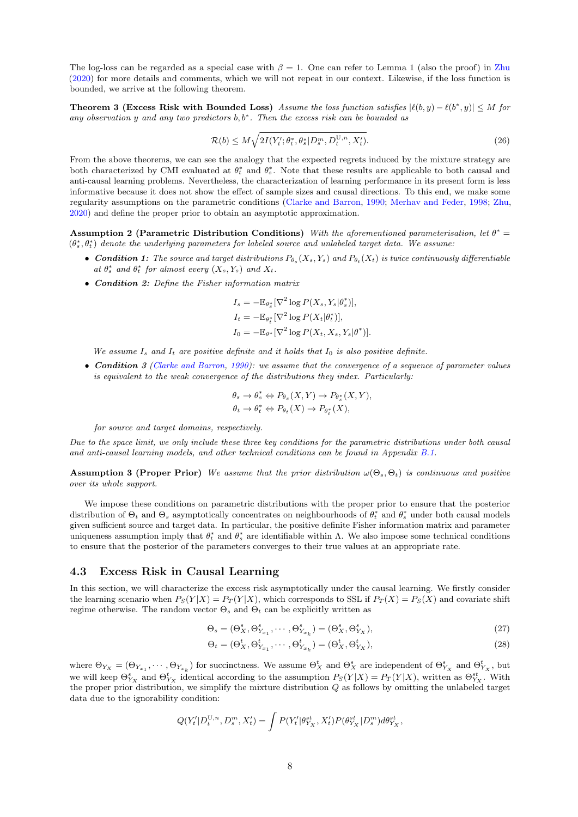The log-loss can be regarded as a special case with  $\beta = 1$ . One can refer to Lemma 1 (also the proof) in [Zhu](#page-11-10) [\(2020\)](#page-11-10) for more details and comments, which we will not repeat in our context. Likewise, if the loss function is bounded, we arrive at the following theorem.

**Theorem 3 (Excess Risk with Bounded Loss)** Assume the loss function satisfies  $|\ell(b, y) - \ell(b^*, y)| \leq M$  for any observation y and any two predictors  $b, b^*$ . Then the excess risk can be bounded as

<span id="page-7-4"></span>
$$
\mathcal{R}(b) \le M \sqrt{2I(Y_t'; \theta_t^*, \theta_s^* | D_s^m, D_t^{\mathbf{U},n}, X_t')}.
$$
\n(26)

From the above theorems, we can see the analogy that the expected regrets induced by the mixture strategy are both characterized by CMI evaluated at  $\theta_t^*$  and  $\theta_s^*$ . Note that these results are applicable to both causal and anti-causal learning problems. Nevertheless, the characterization of learning performance in its present form is less informative because it does not show the effect of sample sizes and causal directions. To this end, we make some regularity assumptions on the parametric conditions [\(Clarke and Barron,](#page-10-21) [1990;](#page-10-21) [Merhav and Feder,](#page-11-19) [1998;](#page-11-19) [Zhu,](#page-11-10) [2020\)](#page-11-10) and define the proper prior to obtain an asymptotic approximation.

<span id="page-7-0"></span>Assumption 2 (Parametric Distribution Conditions) With the aforementioned parameterisation, let  $\theta^* =$  $(\theta_s^*, \theta_t^*)$  denote the underlying parameters for labeled source and unlabeled target data. We assume:

- Condition 1: The source and target distributions  $P_{\theta_s}(X_s, Y_s)$  and  $P_{\theta_t}(X_t)$  is twice continuously differentiable at  $\theta_s^*$  and  $\theta_t^*$  for almost every  $(X_s, Y_s)$  and  $X_t$ .
- Condition 2: Define the Fisher information matrix

$$
I_s = -\mathbb{E}_{\theta_s^*} [\nabla^2 \log P(X_s, Y_s | \theta_s^*)],
$$
  
\n
$$
I_t = -\mathbb{E}_{\theta_t^*} [\nabla^2 \log P(X_t | \theta_t^*)],
$$
  
\n
$$
I_0 = -\mathbb{E}_{\theta^*} [\nabla^2 \log P(X_t, X_s, Y_s | \theta^*)].
$$

We assume  $I_s$  and  $I_t$  are positive definite and it holds that  $I_0$  is also positive definite.

• Condition 3 [\(Clarke and Barron,](#page-10-21) [1990\)](#page-10-21): we assume that the convergence of a sequence of parameter values is equivalent to the weak convergence of the distributions they index. Particularly:

$$
\begin{aligned} \theta_s &\to \theta_s^* \Leftrightarrow P_{\theta_s}(X,Y) \to P_{\theta_s^*}(X,Y),\\ \theta_t &\to \theta_t^* \Leftrightarrow P_{\theta_t}(X) \to P_{\theta_t^*}(X), \end{aligned}
$$

#### for source and target domains, respectively.

Due to the space limit, we only include these three key conditions for the parametric distributions under both causal and anti-causal learning models, and other technical conditions can be found in Appendix [B.1.](#page-13-0)

<span id="page-7-1"></span>**Assumption 3 (Proper Prior)** We assume that the prior distribution  $\omega(\Theta_s, \Theta_t)$  is continuous and positive over its whole support.

We impose these conditions on parametric distributions with the proper prior to ensure that the posterior distribution of  $\Theta_t$  and  $\Theta_s$  asymptotically concentrates on neighbourhoods of  $\theta_t^*$  and  $\theta_s^*$  under both causal models given sufficient source and target data. In particular, the positive definite Fisher information matrix and parameter uniqueness assumption imply that  $\theta_t^*$  and  $\theta_s^*$  are identifiable within  $\Lambda$ . We also impose some technical conditions to ensure that the posterior of the parameters converges to their true values at an appropriate rate.

#### 4.3 Excess Risk in Causal Learning

In this section, we will characterize the excess risk asymptotically under the causal learning. We firstly consider the learning scenario when  $P_S(Y|X) = P_T(Y|X)$ , which corresponds to SSL if  $P_T(X) = P_S(X)$  and covariate shift regime otherwise. The random vector  $\Theta_s$  and  $\Theta_t$  can be explicitly written as

<span id="page-7-2"></span>
$$
\Theta_s = (\Theta^s_X, \Theta^s_{Y_{x_1}}, \cdots, \Theta^s_{Y_{x_k}}) = (\Theta^s_X, \Theta^s_{Y_X}),
$$
\n(27)

<span id="page-7-3"></span>
$$
\Theta_t = (\Theta^t_X, \Theta^t_{Y_{x_1}}, \cdots, \Theta^t_{Y_{x_k}}) = (\Theta^t_X, \Theta^t_{Y_X}),
$$
\n(28)

where  $\Theta_{Y_X} = (\Theta_{Y_{x_1}}, \cdots, \Theta_{Y_{x_k}})$  for succinctness. We assume  $\Theta_X^t$  and  $\Theta_X^s$  are independent of  $\Theta_{Y_X}^s$  and  $\Theta_{Y_X}^t$ , but we will keep  $\Theta_{Y_X}^s$  and  $\Theta_{Y_X}^t$  identical according to the assumption  $P_S(Y|X) = P_T(Y|X)$ , written as  $\Theta_{Y_X}^{st}$ . With the proper prior distribution, we simplify the mixture distribution  $Q$  as follows by omitting the unlabeled target data due to the ignorability condition:

$$
Q(Y'_{t}|D_{t}^{U,n}, D_{s}^{m}, X'_{t}) = \int P(Y'_{t}|\theta_{Y_{X}}^{st}, X'_{t}) P(\theta_{Y_{X}}^{st}|D_{s}^{m}) d\theta_{Y_{X}}^{st},
$$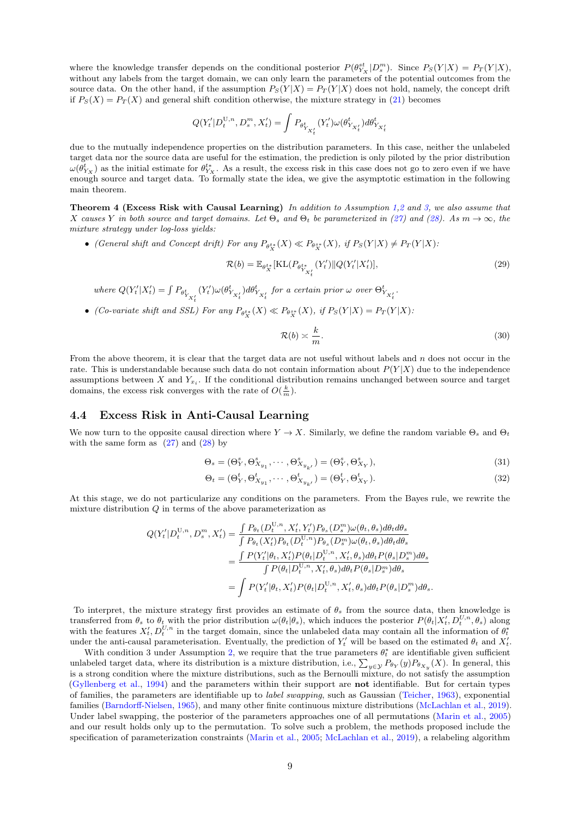where the knowledge transfer depends on the conditional posterior  $P(\theta_{Y_X}^{st}|D_s^m)$ . Since  $P_S(Y|X) = P_T(Y|X)$ , without any labels from the target domain, we can only learn the parameters of the potential outcomes from the source data. On the other hand, if the assumption  $P_S(Y|X) = P_T(Y|X)$  does not hold, namely, the concept drift if  $P_S(X) = P_T(X)$  and general shift condition otherwise, the mixture strategy in [\(21\)](#page-6-0) becomes

$$
Q(Y'_t|D_t^{U,n},D_s^m,X'_t) = \int P_{\theta_{Y_{X'_t}}^t}(Y'_t)\omega(\theta_{Y_{X'_t}}^t)d\theta_{Y_{X'_t}}^t
$$

due to the mutually independence properties on the distribution parameters. In this case, neither the unlabeled target data nor the source data are useful for the estimation, the prediction is only piloted by the prior distribution  $\omega(\theta_{Y_X}^t)$  as the initial estimate for  $\theta_{Y_X}^{t*}$ . As a result, the excess risk in this case does not go to zero even if we have enough source and target data. To formally state the idea, we give the asymptotic estimation in the following main theorem.

<span id="page-8-2"></span>Theorem 4 (Excess Risk with Causal Learning) In addition to Assumption [1,](#page-4-2)[2](#page-7-0) and [3,](#page-7-1) we also assume that X causes Y in both source and target domains. Let  $\Theta_s$  and  $\Theta_t$  be parameterized in [\(27\)](#page-7-2) and [\(28\)](#page-7-3). As  $m \to \infty$ , the mixture strategy under log-loss yields:

• (General shift and Concept drift) For any  $P_{\theta_X^{t*}}(X) \ll P_{\theta_X^{s*}}(X)$ , if  $P_S(Y|X) \neq P_T(Y|X)$ .

$$
\mathcal{R}(b) = \mathbb{E}_{\theta_X^{t*}}[\text{KL}(P_{\theta_{Y_{X_t}^{t}}} (Y_t') \| Q(Y_t'|X_t')],
$$
\n(29)

where  $Q(Y'_t|X'_t) = \int P_{\theta^t_{Y_{X'_t}}}$  $(Y'_t)\omega(\theta^t_{Y_{X'_t}})d\theta^t_{Y_{X'_t}}$  for a certain prior  $\omega$  over  $\Theta^t_{Y_{X'_t}}$ .

• (Co-variate shift and SSL) For any  $P_{\theta_X^{t*}}(X) \ll P_{\theta_X^{s*}}(X)$ , if  $P_S(Y|X) = P_T(Y|X)$ :

<span id="page-8-1"></span><span id="page-8-0"></span>
$$
\mathcal{R}(b) \asymp \frac{k}{m}.\tag{30}
$$

From the above theorem, it is clear that the target data are not useful without labels and  $n$  does not occur in the rate. This is understandable because such data do not contain information about  $P(Y|X)$  due to the independence assumptions between  $X$  and  $Y_{x_i}$ . If the conditional distribution remains unchanged between source and target domains, the excess risk converges with the rate of  $O(\frac{k}{m})$ .

### 4.4 Excess Risk in Anti-Causal Learning

We now turn to the opposite causal direction where  $Y \to X$ . Similarly, we define the random variable  $\Theta_s$  and  $\Theta_t$ with the same form as  $(27)$  and  $(28)$  by

$$
\Theta_s = (\Theta^s_Y, \Theta^s_{X_{y_1}}, \cdots, \Theta^s_{X_{y_{k'}}}) = (\Theta^s_Y, \Theta^s_{X_Y}),
$$
\n(31)

$$
\Theta_t = (\Theta^t_Y, \Theta^t_{X_{y_1}}, \cdots, \Theta^t_{X_{y_{k'}}}) = (\Theta^t_Y, \Theta^t_{X_Y}).
$$
\n(32)

At this stage, we do not particularize any conditions on the parameters. From the Bayes rule, we rewrite the mixture distribution  $Q$  in terms of the above parameterization as

$$
Q(Y'_t|D_t^{U,n}, D_s^m, X'_t) = \frac{\int P_{\theta_t}(D_t^{U,n}, X'_t, Y'_t) P_{\theta_s}(D_s^m) \omega(\theta_t, \theta_s) d\theta_t d\theta_s}{\int P_{\theta_t}(X'_t) P_{\theta_t}(D_t^{U,n}) P_{\theta_s}(D_s^m) \omega(\theta_t, \theta_s) d\theta_t d\theta_s}
$$
  

$$
= \frac{\int P(Y'_t|\theta_t, X'_t) P(\theta_t|D_t^{U,n}, X'_t, \theta_s) d\theta_t P(\theta_s|D_s^m) d\theta_s}{\int P(\theta_t|D_t^{U,n}, X'_t, \theta_s) d\theta_t P(\theta_s|D_s^m) d\theta_s}
$$
  

$$
= \int P(Y'_t|\theta_t, X'_t) P(\theta_t|D_t^{U,n}, X'_t, \theta_s) d\theta_t P(\theta_s|D_s^m) d\theta_s.
$$

To interpret, the mixture strategy first provides an estimate of  $\theta_s$  from the source data, then knowledge is transferred from  $\theta_s$  to  $\theta_t$  with the prior distribution  $\omega(\theta_t|\theta_s)$ , which induces the posterior  $P(\theta_t|X_t', D_t^{U,n}, \theta_s)$  along with the features  $X'_t, D_t^{U,n}$  in the target domain, since the unlabeled data may contain all the information of  $\theta_t^*$ under the anti-causal parameterisation. Eventually, the prediction of  $Y'_t$  will be based on the estimated  $\theta_t$  and  $X'_t$ .

With condition 3 under Assumption [2,](#page-7-0) we require that the true parameters  $\theta_t^*$  are identifiable given sufficient unlabeled target data, where its distribution is a mixture distribution, i.e.,  $\sum_{y\in\mathcal{Y}}P_{\theta_Y}(y)P_{\theta_{X_y}}(X)$ . In general, this is a strong condition where the mixture distributions, such as the Bernoulli mixture, do not satisfy the assumption [\(Gyllenberg et al.,](#page-10-22) [1994\)](#page-10-22) and the parameters within their support are not identifiable. But for certain types of families, the parameters are identifiable up to label swapping, such as Gaussian [\(Teicher,](#page-11-21) [1963\)](#page-11-21), exponential families [\(Barndorff-Nielsen,](#page-10-23) [1965\)](#page-10-23), and many other finite continuous mixture distributions [\(McLachlan et al.,](#page-11-22) [2019\)](#page-11-22). Under label swapping, the posterior of the parameters approaches one of all permutations [\(Marin et al.,](#page-11-23) [2005\)](#page-11-23) and our result holds only up to the permutation. To solve such a problem, the methods proposed include the specification of parameterization constraints [\(Marin et al.,](#page-11-23) [2005;](#page-11-23) [McLachlan et al.,](#page-11-22) [2019\)](#page-11-22), a relabeling algorithm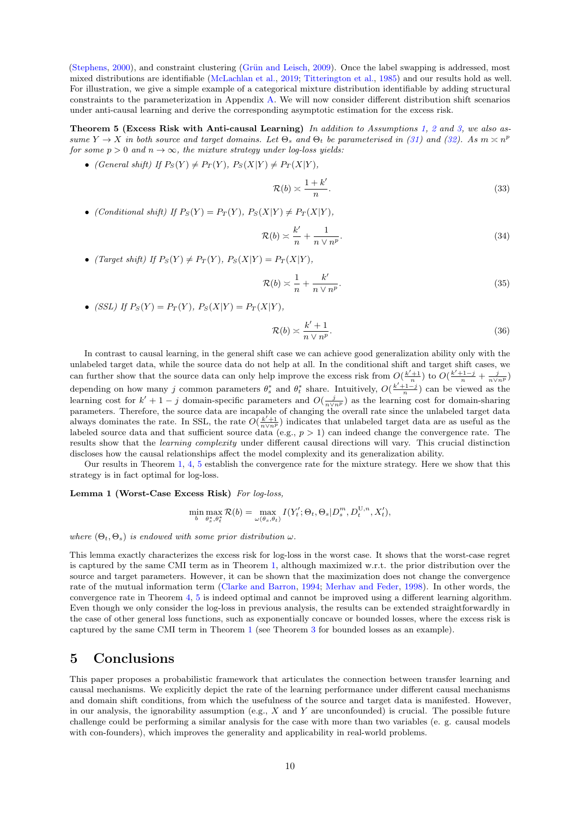[\(Stephens,](#page-11-24) [2000\)](#page-11-24), and constraint clustering (Grün and Leisch, [2009\)](#page-10-24). Once the label swapping is addressed, most mixed distributions are identifiable [\(McLachlan et al.,](#page-11-22) [2019;](#page-11-22) [Titterington et al.,](#page-11-25) [1985\)](#page-11-25) and our results hold as well. For illustration, we give a simple example of a categorical mixture distribution identifiable by adding structural constraints to the parameterization in Appendix [A.](#page-11-15) We will now consider different distribution shift scenarios under anti-causal learning and derive the corresponding asymptotic estimation for the excess risk.

Theorem 5 (Excess Risk with Anti-causal Learning) In addition to Assumptions [1,](#page-4-2) [2](#page-7-0) and [3,](#page-7-1) we also assume  $Y \to X$  in both source and target domains. Let  $\Theta_s$  and  $\Theta_t$  be parameterised in [\(31\)](#page-8-0) and [\(32\)](#page-8-1). As  $m \times n^p$ for some  $p > 0$  and  $n \to \infty$ , the mixture strategy under log-loss yields:

• (General shift) If  $P_S(Y) \neq P_T(Y)$ ,  $P_S(X|Y) \neq P_T(X|Y)$ ,

<span id="page-9-1"></span>
$$
\mathcal{R}(b) \asymp \frac{1+k'}{n}.\tag{33}
$$

• (Conditional shift) If  $P_S(Y) = P_T(Y)$ ,  $P_S(X|Y) \neq P_T(X|Y)$ ,

$$
\mathcal{R}(b) \asymp \frac{k'}{n} + \frac{1}{n \vee n^p}.\tag{34}
$$

• (Target shift) If  $P_S(Y) \neq P_T(Y)$ ,  $P_S(X|Y) = P_T(X|Y)$ ,

$$
\mathcal{R}(b) \asymp \frac{1}{n} + \frac{k'}{n \vee n^p}.\tag{35}
$$

• (SSL) If  $P_S(Y) = P_T(Y)$ ,  $P_S(X|Y) = P_T(X|Y)$ ,

$$
\mathcal{R}(b) \asymp \frac{k' + 1}{n \vee n^p}.\tag{36}
$$

In contrast to causal learning, in the general shift case we can achieve good generalization ability only with the unlabeled target data, while the source data do not help at all. In the conditional shift and target shift cases, we can further show that the source data can only help improve the excess risk from  $O(\frac{k'+1}{n})$  to  $O(\frac{k'+1-j}{n} + \frac{j}{n\sqrt{n^p}})$ depending on how many j common parameters  $\theta_s^*$  and  $\theta_t^*$  share. Intuitively,  $O(\frac{k'+1-j}{n})$  can be viewed as the learning cost for  $k' + 1 - j$  domain-specific parameters and  $O(\frac{j}{n \vee n^p})$  as the learning cost for domain-sharing parameters. Therefore, the source data are incapable of changing the overall rate since the unlabeled target data always dominates the rate. In SSL, the rate  $O(\frac{k'+1}{n\sqrt{n^p}})$  indicates that unlabeled target data are as useful as the labeled source data and that sufficient source data (e.g.,  $p > 1$ ) can indeed change the convergence rate. The results show that the learning complexity under different causal directions will vary. This crucial distinction discloses how the causal relationships affect the model complexity and its generalization ability.

Our results in Theorem [1,](#page-6-3) [4,](#page-8-2) [5](#page-9-1) establish the convergence rate for the mixture strategy. Here we show that this strategy is in fact optimal for log-loss.

#### Lemma 1 (Worst-Case Excess Risk) For log-loss,

<span id="page-9-0"></span>
$$
\min_{b} \max_{\theta_s^*, \theta_t^*} \mathcal{R}(b) = \max_{\omega(\theta_s, \theta_t)} I(Y'_t; \Theta_t, \Theta_s | D_s^m, D_t^{U, n}, X'_t),
$$

where  $(\Theta_t, \Theta_s)$  is endowed with some prior distribution  $\omega$ .

This lemma exactly characterizes the excess risk for log-loss in the worst case. It shows that the worst-case regret is captured by the same CMI term as in Theorem [1,](#page-6-3) although maximized w.r.t. the prior distribution over the source and target parameters. However, it can be shown that the maximization does not change the convergence rate of the mutual information term [\(Clarke and Barron,](#page-10-25) [1994;](#page-10-25) [Merhav and Feder,](#page-11-19) [1998\)](#page-11-19). In other words, the convergence rate in Theorem [4,](#page-8-2) [5](#page-9-1) is indeed optimal and cannot be improved using a different learning algorithm. Even though we only consider the log-loss in previous analysis, the results can be extended straightforwardly in the case of other general loss functions, such as exponentially concave or bounded losses, where the excess risk is captured by the same CMI term in Theorem [1](#page-6-3) (see Theorem [3](#page-7-4) for bounded losses as an example).

## 5 Conclusions

This paper proposes a probabilistic framework that articulates the connection between transfer learning and causal mechanisms. We explicitly depict the rate of the learning performance under different causal mechanisms and domain shift conditions, from which the usefulness of the source and target data is manifested. However, in our analysis, the ignorability assumption (e.g.,  $X$  and  $Y$  are unconfounded) is crucial. The possible future challenge could be performing a similar analysis for the case with more than two variables (e. g. causal models with con-founders), which improves the generality and applicability in real-world problems.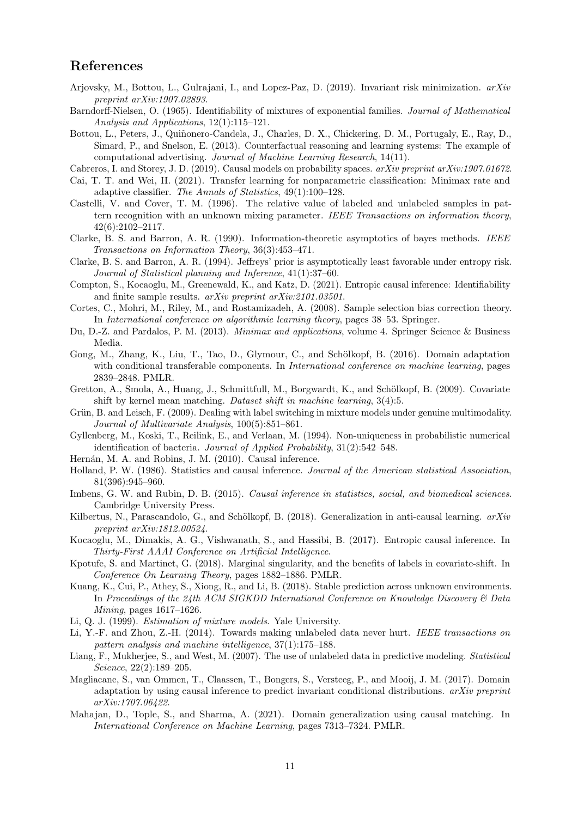## References

- <span id="page-10-7"></span>Arjovsky, M., Bottou, L., Gulrajani, I., and Lopez-Paz, D. (2019). Invariant risk minimization. arXiv preprint arXiv:1907.02893.
- <span id="page-10-23"></span>Barndorff-Nielsen, O. (1965). Identifiability of mixtures of exponential families. Journal of Mathematical Analysis and Applications, 12(1):115–121.
- <span id="page-10-4"></span>Bottou, L., Peters, J., Quiñonero-Candela, J., Charles, D. X., Chickering, D. M., Portugaly, E., Ray, D., Simard, P., and Snelson, E. (2013). Counterfactual reasoning and learning systems: The example of computational advertising. Journal of Machine Learning Research, 14(11).

<span id="page-10-15"></span>Cabreros, I. and Storey, J. D. (2019). Causal models on probability spaces. arXiv preprint arXiv:1907.01672.

- <span id="page-10-18"></span>Cai, T. T. and Wei, H. (2021). Transfer learning for nonparametric classification: Minimax rate and adaptive classifier. The Annals of Statistics, 49(1):100–128.
- <span id="page-10-13"></span>Castelli, V. and Cover, T. M. (1996). The relative value of labeled and unlabeled samples in pattern recognition with an unknown mixing parameter. IEEE Transactions on information theory, 42(6):2102–2117.
- <span id="page-10-21"></span>Clarke, B. S. and Barron, A. R. (1990). Information-theoretic asymptotics of bayes methods. IEEE Transactions on Information Theory, 36(3):453–471.
- <span id="page-10-25"></span>Clarke, B. S. and Barron, A. R. (1994). Jeffreys' prior is asymptotically least favorable under entropy risk. Journal of Statistical planning and Inference, 41(1):37–60.
- <span id="page-10-17"></span>Compton, S., Kocaoglu, M., Greenewald, K., and Katz, D. (2021). Entropic causal inference: Identifiability and finite sample results. arXiv preprint arXiv:2101.03501.
- <span id="page-10-8"></span>Cortes, C., Mohri, M., Riley, M., and Rostamizadeh, A. (2008). Sample selection bias correction theory. In International conference on algorithmic learning theory, pages 38–53. Springer.
- <span id="page-10-26"></span>Du, D.-Z. and Pardalos, P. M. (2013). Minimax and applications, volume 4. Springer Science & Business Media.
- <span id="page-10-0"></span>Gong, M., Zhang, K., Liu, T., Tao, D., Glymour, C., and Schölkopf, B. (2016). Domain adaptation with conditional transferable components. In *International conference on machine learning*, pages 2839–2848. PMLR.
- <span id="page-10-9"></span>Gretton, A., Smola, A., Huang, J., Schmittfull, M., Borgwardt, K., and Schölkopf, B. (2009). Covariate shift by kernel mean matching. Dataset shift in machine learning, 3(4):5.
- <span id="page-10-24"></span>Grün, B. and Leisch, F. (2009). Dealing with label switching in mixture models under genuine multimodality. Journal of Multivariate Analysis, 100(5):851–861.
- <span id="page-10-22"></span>Gyllenberg, M., Koski, T., Reilink, E., and Verlaan, M. (1994). Non-uniqueness in probabilistic numerical identification of bacteria. Journal of Applied Probability, 31(2):542–548.
- <span id="page-10-1"></span>Hernán, M. A. and Robins, J. M. (2010). Causal inference.
- <span id="page-10-2"></span>Holland, P. W. (1986). Statistics and causal inference. Journal of the American statistical Association, 81(396):945–960.
- <span id="page-10-3"></span>Imbens, G. W. and Rubin, D. B. (2015). Causal inference in statistics, social, and biomedical sciences. Cambridge University Press.
- <span id="page-10-5"></span>Kilbertus, N., Parascandolo, G., and Schölkopf, B. (2018). Generalization in anti-causal learning.  $arXiv$ preprint arXiv:1812.00524.
- <span id="page-10-16"></span>Kocaoglu, M., Dimakis, A. G., Vishwanath, S., and Hassibi, B. (2017). Entropic causal inference. In Thirty-First AAAI Conference on Artificial Intelligence.
- <span id="page-10-20"></span>Kpotufe, S. and Martinet, G. (2018). Marginal singularity, and the benefits of labels in covariate-shift. In Conference On Learning Theory, pages 1882–1886. PMLR.
- <span id="page-10-6"></span>Kuang, K., Cui, P., Athey, S., Xiong, R., and Li, B. (2018). Stable prediction across unknown environments. In Proceedings of the 24th ACM SIGKDD International Conference on Knowledge Discovery & Data Mining, pages 1617–1626.
- <span id="page-10-19"></span>Li, Q. J. (1999). Estimation of mixture models. Yale University.
- <span id="page-10-12"></span>Li, Y.-F. and Zhou, Z.-H. (2014). Towards making unlabeled data never hurt. IEEE transactions on pattern analysis and machine intelligence, 37(1):175–188.
- <span id="page-10-14"></span>Liang, F., Mukherjee, S., and West, M. (2007). The use of unlabeled data in predictive modeling. *Statistical* Science, 22(2):189–205.
- <span id="page-10-10"></span>Magliacane, S., van Ommen, T., Claassen, T., Bongers, S., Versteeg, P., and Mooij, J. M. (2017). Domain adaptation by using causal inference to predict invariant conditional distributions. arXiv preprint arXiv:1707.06422.
- <span id="page-10-11"></span>Mahajan, D., Tople, S., and Sharma, A. (2021). Domain generalization using causal matching. In International Conference on Machine Learning, pages 7313–7324. PMLR.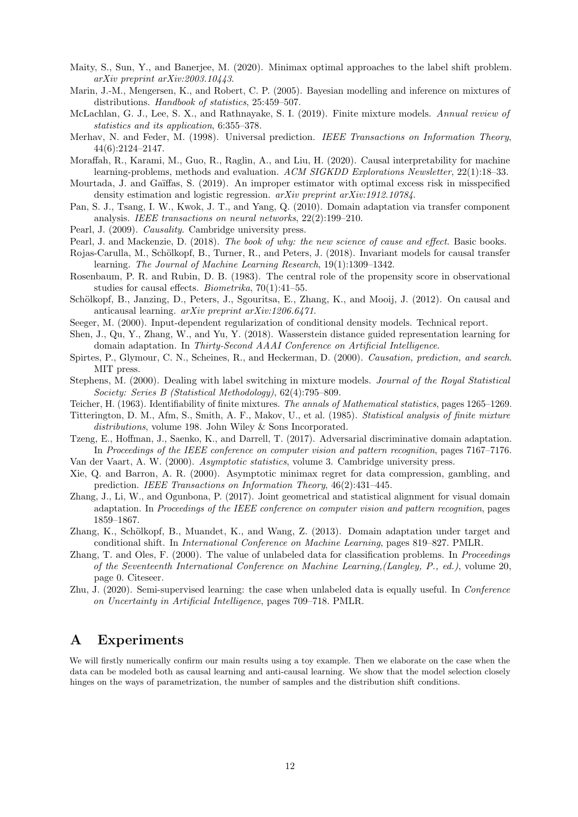- <span id="page-11-18"></span>Maity, S., Sun, Y., and Banerjee, M. (2020). Minimax optimal approaches to the label shift problem. arXiv preprint arXiv:2003.10443.
- <span id="page-11-23"></span>Marin, J.-M., Mengersen, K., and Robert, C. P. (2005). Bayesian modelling and inference on mixtures of distributions. Handbook of statistics, 25:459–507.
- <span id="page-11-22"></span>McLachlan, G. J., Lee, S. X., and Rathnayake, S. I. (2019). Finite mixture models. Annual review of statistics and its application, 6:355–378.
- <span id="page-11-19"></span>Merhav, N. and Feder, M. (1998). Universal prediction. IEEE Transactions on Information Theory, 44(6):2124–2147.
- <span id="page-11-3"></span>Moraffah, R., Karami, M., Guo, R., Raglin, A., and Liu, H. (2020). Causal interpretability for machine learning-problems, methods and evaluation. ACM SIGKDD Explorations Newsletter, 22(1):18–33.
- <span id="page-11-16"></span>Mourtada, J. and Gaïffas, S. (2019). An improper estimator with optimal excess risk in misspecified density estimation and logistic regression. arXiv preprint arXiv:1912.10784.
- <span id="page-11-4"></span>Pan, S. J., Tsang, I. W., Kwok, J. T., and Yang, Q. (2010). Domain adaptation via transfer component analysis. IEEE transactions on neural networks, 22(2):199–210.
- <span id="page-11-12"></span>Pearl, J. (2009). Causality. Cambridge university press.
- <span id="page-11-2"></span>Pearl, J. and Mackenzie, D. (2018). The book of why: the new science of cause and effect. Basic books.
- <span id="page-11-8"></span>Rojas-Carulla, M., Schölkopf, B., Turner, R., and Peters, J. (2018). Invariant models for causal transfer learning. The Journal of Machine Learning Research, 19(1):1309–1342.
- <span id="page-11-13"></span>Rosenbaum, P. R. and Rubin, D. B. (1983). The central role of the propensity score in observational studies for causal effects. Biometrika, 70(1):41–55.
- <span id="page-11-0"></span>Schölkopf, B., Janzing, D., Peters, J., Sgouritsa, E., Zhang, K., and Mooij, J. (2012). On causal and anticausal learning. arXiv preprint arXiv:1206.6471.
- <span id="page-11-11"></span>Seeger, M. (2000). Input-dependent regularization of conditional density models. Technical report.
- <span id="page-11-6"></span>Shen, J., Qu, Y., Zhang, W., and Yu, Y. (2018). Wasserstein distance guided representation learning for domain adaptation. In Thirty-Second AAAI Conference on Artificial Intelligence.
- <span id="page-11-14"></span>Spirtes, P., Glymour, C. N., Scheines, R., and Heckerman, D. (2000). Causation, prediction, and search. MIT press.
- <span id="page-11-24"></span>Stephens, M. (2000). Dealing with label switching in mixture models. Journal of the Royal Statistical Society: Series B (Statistical Methodology), 62(4):795–809.
- <span id="page-11-21"></span>Teicher, H. (1963). Identifiability of finite mixtures. The annals of Mathematical statistics, pages 1265–1269.
- <span id="page-11-25"></span>Titterington, D. M., Afm, S., Smith, A. F., Makov, U., et al. (1985). Statistical analysis of finite mixture distributions, volume 198. John Wiley & Sons Incorporated.
- <span id="page-11-7"></span>Tzeng, E., Hoffman, J., Saenko, K., and Darrell, T. (2017). Adversarial discriminative domain adaptation. In Proceedings of the IEEE conference on computer vision and pattern recognition, pages 7167–7176.
- <span id="page-11-17"></span>Van der Vaart, A. W. (2000). Asymptotic statistics, volume 3. Cambridge university press.
- <span id="page-11-20"></span>Xie, Q. and Barron, A. R. (2000). Asymptotic minimax regret for data compression, gambling, and prediction. IEEE Transactions on Information Theory, 46(2):431–445.
- <span id="page-11-5"></span>Zhang, J., Li, W., and Ogunbona, P. (2017). Joint geometrical and statistical alignment for visual domain adaptation. In Proceedings of the IEEE conference on computer vision and pattern recognition, pages 1859–1867.
- <span id="page-11-1"></span>Zhang, K., Schölkopf, B., Muandet, K., and Wang, Z. (2013). Domain adaptation under target and conditional shift. In International Conference on Machine Learning, pages 819–827. PMLR.
- <span id="page-11-9"></span>Zhang, T. and Oles, F. (2000). The value of unlabeled data for classification problems. In Proceedings of the Seventeenth International Conference on Machine Learning,(Langley, P., ed.), volume 20, page 0. Citeseer.
- <span id="page-11-10"></span>Zhu, J. (2020). Semi-supervised learning: the case when unlabeled data is equally useful. In Conference on Uncertainty in Artificial Intelligence, pages 709–718. PMLR.

## <span id="page-11-15"></span>A Experiments

We will firstly numerically confirm our main results using a toy example. Then we elaborate on the case when the data can be modeled both as causal learning and anti-causal learning. We show that the model selection closely hinges on the ways of parametrization, the number of samples and the distribution shift conditions.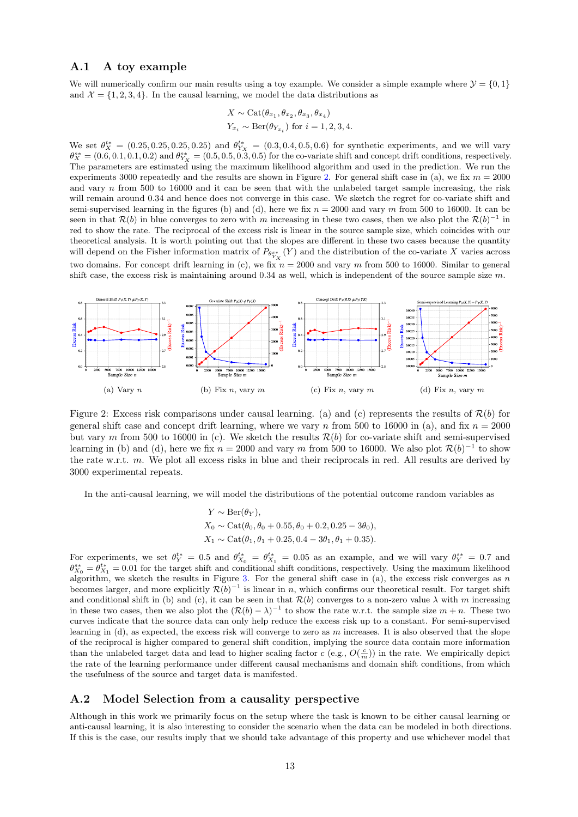#### A.1 A toy example

We will numerically confirm our main results using a toy example. We consider a simple example where  $\mathcal{Y} = \{0, 1\}$ and  $\mathcal{X} = \{1, 2, 3, 4\}$ . In the causal learning, we model the data distributions as

$$
X \sim \text{Cat}(\theta_{x_1}, \theta_{x_2}, \theta_{x_3}, \theta_{x_4})
$$
  

$$
Y_{x_i} \sim \text{Ber}(\theta_{Y_{x_i}}) \text{ for } i = 1, 2, 3, 4.
$$

We set  $\theta_X^{t*} = (0.25, 0.25, 0.25, 0.25)$  and  $\theta_{Y_X}^{t*} = (0.3, 0.4, 0.5, 0.6)$  for synthetic experiments, and we will vary  $\theta_X^{s*} = (0.6, 0.1, 0.1, 0.2)$  and  $\theta_{Y_X}^{s*} = (0.5, 0.5, 0.3, 0.5)$  for the co-variate shift and concept drift conditions, respectively. The parameters are estimated using the maximum likelihood algorithm and used in the prediction. We run the experiments 3000 repeatedly and the results are shown in Figure [2.](#page-12-0) For general shift case in (a), we fix  $m = 2000$ and vary  $n$  from 500 to 16000 and it can be seen that with the unlabeled target sample increasing, the risk will remain around 0.34 and hence does not converge in this case. We sketch the regret for co-variate shift and semi-supervised learning in the figures (b) and (d), here we fix  $n = 2000$  and vary m from 500 to 16000. It can be seen in that  $\mathcal{R}(b)$  in blue converges to zero with m increasing in these two cases, then we also plot the  $\mathcal{R}(b)^{-1}$  in red to show the rate. The reciprocal of the excess risk is linear in the source sample size, which coincides with our theoretical analysis. It is worth pointing out that the slopes are different in these two cases because the quantity will depend on the Fisher information matrix of  $P_{\theta_{Y_X}^{s*}}(Y)$  and the distribution of the co-variate X varies across two domains. For concept drift learning in (c), we fix  $n = 2000$  and vary m from 500 to 16000. Similar to general shift case, the excess risk is maintaining around  $0.34$  as well, which is independent of the source sample size m.



Figure 2: Excess risk comparisons under causal learning. (a) and (c) represents the results of  $\mathcal{R}(b)$  for general shift case and concept drift learning, where we vary n from 500 to 16000 in (a), and fix  $n = 2000$ but vary m from 500 to 16000 in (c). We sketch the results  $\mathcal{R}(b)$  for co-variate shift and semi-supervised learning in (b) and (d), here we fix  $n = 2000$  and vary m from 500 to 16000. We also plot  $\mathcal{R}(b)^{-1}$  to show the rate w.r.t. m. We plot all excess risks in blue and their reciprocals in red. All results are derived by 3000 experimental repeats.

In the anti-causal learning, we will model the distributions of the potential outcome random variables as

<span id="page-12-0"></span>
$$
Y \sim \text{Ber}(\theta_Y),
$$
  
\n
$$
X_0 \sim \text{Cat}(\theta_0, \theta_0 + 0.55, \theta_0 + 0.2, 0.25 - 3\theta_0),
$$
  
\n
$$
X_1 \sim \text{Cat}(\theta_1, \theta_1 + 0.25, 0.4 - 3\theta_1, \theta_1 + 0.35).
$$

For experiments, we set  $\theta^{t*}_Y = 0.5$  and  $\theta^{t*}_{X_0} = \theta^{t*}_{X_1} = 0.05$  as an example, and we will vary  $\theta^{s*}_Y = 0.7$  and  $\theta_{X_0}^{s*} = \theta_{X_1}^{t*} = 0.01$  for the target shift and conditional shift conditions, respectively. Using the maximum likelihood algorithm, we sketch the results in Figure [3.](#page-13-1) For the general shift case in (a), the excess risk converges as n becomes larger, and more explicitly  $\mathcal{R}(b)^{-1}$  is linear in n, which confirms our theoretical result. For target shift and conditional shift in (b) and (c), it can be seen in that  $\mathcal{R}(b)$  converges to a non-zero value  $\lambda$  with m increasing in these two cases, then we also plot the  $(R(b) - \lambda)^{-1}$  to show the rate w.r.t. the sample size  $m + n$ . These two curves indicate that the source data can only help reduce the excess risk up to a constant. For semi-supervised learning in  $(d)$ , as expected, the excess risk will converge to zero as m increases. It is also observed that the slope of the reciprocal is higher compared to general shift condition, implying the source data contain more information than the unlabeled target data and lead to higher scaling factor  $c$  (e.g.,  $O(\frac{c}{m})$ ) in the rate. We empirically depict the rate of the learning performance under different causal mechanisms and domain shift conditions, from which the usefulness of the source and target data is manifested.

### A.2 Model Selection from a causality perspective

Although in this work we primarily focus on the setup where the task is known to be either causal learning or anti-causal learning, it is also interesting to consider the scenario when the data can be modeled in both directions. If this is the case, our results imply that we should take advantage of this property and use whichever model that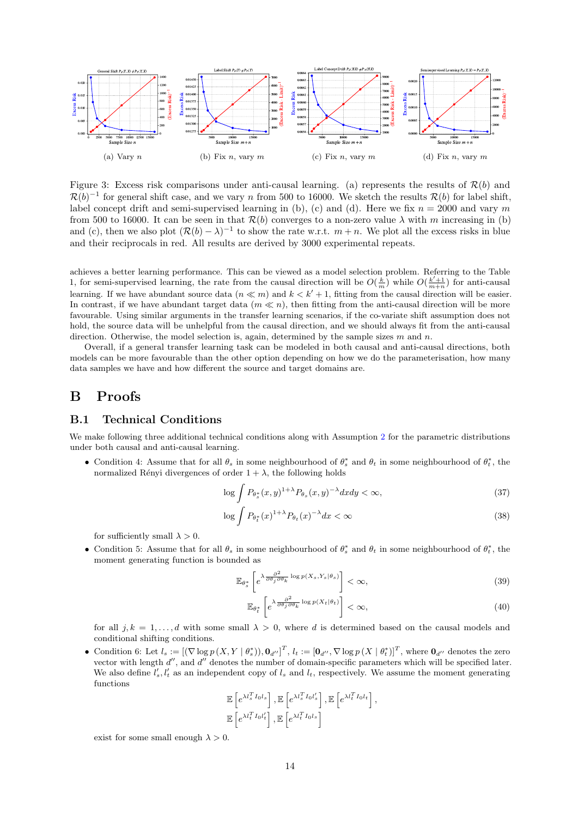

<span id="page-13-1"></span>Figure 3: Excess risk comparisons under anti-causal learning. (a) represents the results of  $\mathcal{R}(b)$  and  $\mathcal{R}(b)^{-1}$  for general shift case, and we vary n from 500 to 16000. We sketch the results  $\mathcal{R}(b)$  for label shift, label concept drift and semi-supervised learning in (b), (c) and (d). Here we fix  $n = 2000$  and vary m from 500 to 16000. It can be seen in that  $\mathcal{R}(b)$  converges to a non-zero value  $\lambda$  with m increasing in (b) and (c), then we also plot  $(R(b) - \lambda)^{-1}$  to show the rate w.r.t.  $m + n$ . We plot all the excess risks in blue and their reciprocals in red. All results are derived by 3000 experimental repeats.

achieves a better learning performance. This can be viewed as a model selection problem. Referring to the Table 1, for semi-supervised learning, the rate from the causal direction will be  $O(\frac{k}{m})$  while  $O(\frac{k'+1}{m+n})$  for anti-causal learning. If we have abundant source data  $(n \ll m)$  and  $k < k' + 1$ , fitting from the causal direction will be easier. In contrast, if we have abundant target data  $(m \ll n)$ , then fitting from the anti-causal direction will be more favourable. Using similar arguments in the transfer learning scenarios, if the co-variate shift assumption does not hold, the source data will be unhelpful from the causal direction, and we should always fit from the anti-causal direction. Otherwise, the model selection is, again, determined by the sample sizes  $m$  and  $n$ .

Overall, if a general transfer learning task can be modeled in both causal and anti-causal directions, both models can be more favourable than the other option depending on how we do the parameterisation, how many data samples we have and how different the source and target domains are.

## B Proofs

### <span id="page-13-0"></span>B.1 Technical Conditions

We make following three additional technical conditions along with Assumption [2](#page-7-0) for the parametric distributions under both causal and anti-causal learning.

• Condition 4: Assume that for all  $\theta_s$  in some neighbourhood of  $\theta_s^*$  and  $\theta_t$  in some neighbourhood of  $\theta_t^*$ , the normalized Rényi divergences of order  $1 + \lambda$ , the following holds

$$
\log \int P_{\theta_s^*}(x, y)^{1+\lambda} P_{\theta_s}(x, y)^{-\lambda} dx dy < \infty,
$$
\n(37)

$$
\log \int P_{\theta_t^*}(x)^{1+\lambda} P_{\theta_t}(x)^{-\lambda} dx < \infty \tag{38}
$$

for sufficiently small  $\lambda > 0$ .

• Condition 5: Assume that for all  $\theta_s$  in some neighbourhood of  $\theta_s^*$  and  $\theta_t$  in some neighbourhood of  $\theta_t^*$ , the moment generating function is bounded as

$$
\mathbb{E}_{\theta_s^*} \left[ e^{\lambda \frac{\partial^2}{\partial \theta_j \partial \theta_k} \log p(X_s, Y_s | \theta_s)} \right] < \infty,\tag{39}
$$

$$
\mathbb{E}_{\theta_t^*} \left[ e^{\lambda \frac{\partial^2}{\partial \theta_j \partial \theta_k} \log p(X_t | \theta_t)} \right] < \infty,\tag{40}
$$

for all  $j, k = 1, \ldots, d$  with some small  $\lambda > 0$ , where d is determined based on the causal models and conditional shifting conditions.

• Condition 6: Let  $l_s := [(\nabla \log p(X, Y | \theta_s^*)), \mathbf{0}_{d'}]^T, l_t := [\mathbf{0}_{d''}, \nabla \log p(X | \theta_t^*)]^T$ , where  $\mathbf{0}_{d''}$  denotes the zero vector with length  $d''$ , and  $d''$  denotes the number of domain-specific parameters which will be specified later. We also define  $l'_s, l'_t$  as an independent copy of  $l_s$  and  $l_t$ , respectively. We assume the moment generating functions

$$
\mathbb{E}\left[e^{\lambda l_s^T I_0 l_s}\right], \mathbb{E}\left[e^{\lambda l_s^T I_0 l_s'}\right], \mathbb{E}\left[e^{\lambda l_t^T I_0 l_t}\right],
$$
  

$$
\mathbb{E}\left[e^{\lambda l_t^T I_0 l_t'}\right], \mathbb{E}\left[e^{\lambda l_t^T I_0 l_s}\right]
$$

exist for some small enough  $\lambda > 0$ .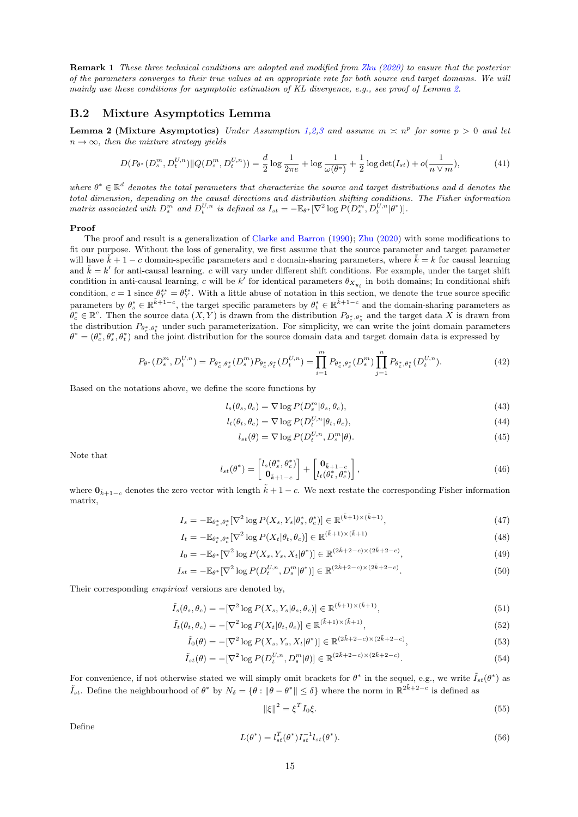Remark 1 These three technical conditions are adopted and modified from [Zhu](#page-11-10) [\(2020\)](#page-11-10) to ensure that the posterior of the parameters converges to their true values at an appropriate rate for both source and target domains. We will mainly use these conditions for asymptotic estimation of KL divergence, e.g., see proof of Lemma [2.](#page-14-0)

#### B.2 Mixture Asymptotics Lemma

<span id="page-14-0"></span>**Lemma [2](#page-7-0) (Mixture Asymptotics)** Under Assumption [1,](#page-4-2)2[,3](#page-7-1) and assume  $m \times n^p$  for some  $p > 0$  and let  $n \to \infty$ , then the mixture strategy yields

$$
D(P_{\theta^*}(D_s^m, D_t^{U,n}) \| Q(D_s^m, D_t^{U,n})) = \frac{d}{2} \log \frac{1}{2\pi e} + \log \frac{1}{\omega(\theta^*)} + \frac{1}{2} \log \det(I_{st}) + o(\frac{1}{n \vee m}),\tag{41}
$$

where  $\theta^* \in \mathbb{R}^d$  denotes the total parameters that characterize the source and target distributions and d denotes the total dimension, depending on the causal directions and distribution shifting conditions. The Fisher information matrix associated with  $D_s^m$  and  $D_t^{U,n}$  is defined as  $I_{st} = -\mathbb{E}_{\theta^*}[\nabla^2 \log P(D_s^m, D_t^{U,n}|\theta^*)].$ 

#### Proof

The proof and result is a generalization of [Clarke and Barron](#page-10-21) [\(1990\)](#page-10-21); [Zhu](#page-11-10) [\(2020\)](#page-11-10) with some modifications to fit our purpose. Without the loss of generality, we first assume that the source parameter and target parameter will have  $\tilde{k} + 1 - c$  domain-specific parameters and c domain-sharing parameters, where  $\tilde{k} = k$  for causal learning and  $\tilde{k} = k'$  for anti-causal learning. c will vary under different shift conditions. For example, under the target shift condition in anti-causal learning, c will be  $k'$  for identical parameters  $\theta_{X_{y_i}}$  in both domains; In conditional shift condition,  $c = 1$  since  $\theta_Y^{s*} = \theta_Y^{t*}$ . With a little abuse of notation in this section, we denote the true source specific parameters by  $\theta_s^* \in \mathbb{R}^{\tilde{k}+1-c}$ , the target specific parameters by  $\theta_t^* \in \mathbb{R}^{\tilde{k}+1-c}$  and the domain-sharing parameters as  $\theta_c^* \in \mathbb{R}^c$ . Then the source data  $(X, Y)$  is drawn from the distribution  $P_{\theta_c^*, \theta_s^*}$  and the target data X is drawn from the distribution  $P_{\theta_c^*,\theta_t^*}$  under such parameterization. For simplicity, we can write the joint domain parameters  $\theta^* = (\theta_c^*, \theta_s^*, \theta_t^*)$  and the joint distribution for the source domain data and target domain data is expressed by

$$
P_{\theta^*}(D_s^m, D_t^{U,n}) = P_{\theta_c^*, \theta_s^*}(D_s^m) P_{\theta_c^*, \theta_t^*}(D_t^{U,n}) = \prod_{i=1}^m P_{\theta_c^*, \theta_s^*}(D_s^m) \prod_{j=1}^n P_{\theta_c^*, \theta_t^*}(D_t^{U,n}).
$$
\n(42)

Based on the notations above, we define the score functions by

$$
l_s(\theta_s, \theta_c) = \nabla \log P(D_s^m | \theta_s, \theta_c), \qquad (43)
$$

$$
l_t(\theta_t, \theta_c) = \nabla \log P(D_t^{U, n} | \theta_t, \theta_c), \tag{44}
$$

$$
l_{st}(\theta) = \nabla \log P(D_t^{U,n}, D_s^m | \theta).
$$
\n(45)

Note that

$$
l_{st}(\theta^*) = \begin{bmatrix} l_s(\theta_s^*, \theta_c^*) \\ \mathbf{0}_{\tilde{k}+1-c} \end{bmatrix} + \begin{bmatrix} \mathbf{0}_{\tilde{k}+1-c} \\ l_t(\theta_t^*, \theta_c^*) \end{bmatrix},
$$
(46)

where  $\mathbf{0}_{\tilde{k}+1-c}$  denotes the zero vector with length  $\tilde{k}+1-c$ . We next restate the corresponding Fisher information matrix,

$$
I_s = -\mathbb{E}_{\theta_s^*, \theta_c^*} [\nabla^2 \log P(X_s, Y_s | \theta_s^*, \theta_c^*)] \in \mathbb{R}^{(\tilde{k}+1) \times (\tilde{k}+1)},\tag{47}
$$

$$
I_t = -\mathbb{E}_{\theta_t^*, \theta_c^*}[\nabla^2 \log P(X_t | \theta_t, \theta_c)] \in \mathbb{R}^{(\tilde{k}+1) \times (\tilde{k}+1)}
$$
\n(48)

$$
I_0 = -\mathbb{E}_{\theta^*}[\nabla^2 \log P(X_s, Y_s, X_t | \theta^*)] \in \mathbb{R}^{(2\tilde{k} + 2 - c) \times (2\tilde{k} + 2 - c)},\tag{49}
$$

$$
I_{st} = -\mathbb{E}_{\theta^*}[\nabla^2 \log P(D_t^{U,n}, D_s^m | \theta^*)] \in \mathbb{R}^{(2\tilde{k} + 2 - c) \times (2\tilde{k} + 2 - c)}.
$$
 (50)

Their corresponding empirical versions are denoted by,

$$
\tilde{I}_s(\theta_s, \theta_c) = -[\nabla^2 \log P(X_s, Y_s | \theta_s, \theta_c)] \in \mathbb{R}^{(\tilde{k}+1) \times (\tilde{k}+1)},\tag{51}
$$

$$
\tilde{I}_t(\theta_t, \theta_c) = -[\nabla^2 \log P(X_t | \theta_t, \theta_c)] \in \mathbb{R}^{(\tilde{k}+1) \times (\tilde{k}+1)},\tag{52}
$$

$$
\tilde{I}_0(\theta) = -[\nabla^2 \log P(X_s, Y_s, X_t | \theta^*)] \in \mathbb{R}^{(2\tilde{k} + 2 - c) \times (2\tilde{k} + 2 - c)},
$$
\n(53)

$$
\tilde{I}_{st}(\theta) = -[\nabla^2 \log P(D_t^{U,n}, D_s^m | \theta)] \in \mathbb{R}^{(2\tilde{k} + 2 - c) \times (2\tilde{k} + 2 - c)}.
$$
\n(54)

For convenience, if not otherwise stated we will simply omit brackets for  $\theta^*$  in the sequel, e.g., we write  $\tilde{I}_{st}(\theta^*)$  as  $\tilde{I}_{st}$ . Define the neighbourhood of  $\theta^*$  by  $N_{\delta} = \{\theta : ||\theta - \theta^*|| \leq \delta\}$  where the norm in  $\mathbb{R}^{2\tilde{k}+2-c}$  is defined as

$$
\|\xi\|^2 = \xi^T I_0 \xi. \tag{55}
$$

Define

$$
L(\theta^*) = l_{st}^T(\theta^*) I_{st}^{-1} l_{st}(\theta^*).
$$
\n(56)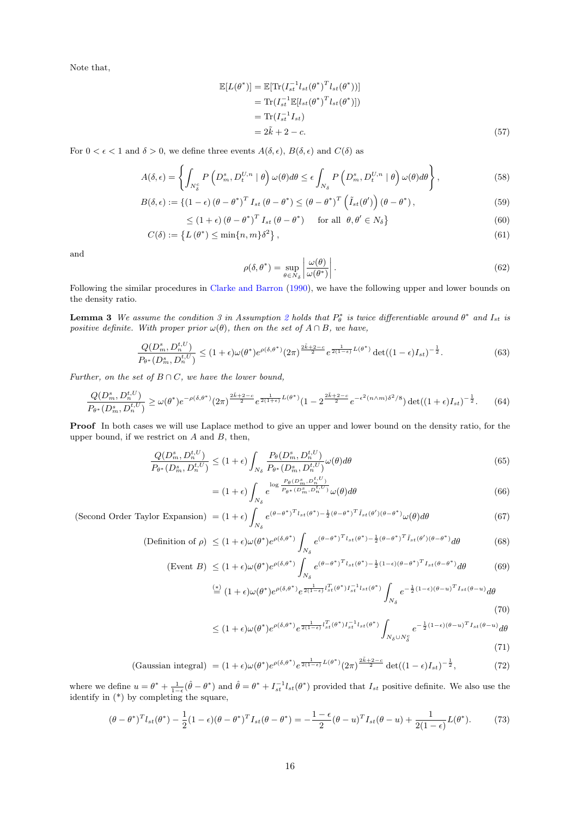Note that,

$$
\mathbb{E}[L(\theta^*)] = \mathbb{E}[\text{Tr}(I_{st}^{-1}l_{st}(\theta^*)^T l_{st}(\theta^*))]
$$
  
\n
$$
= \text{Tr}(I_{st}^{-1} \mathbb{E}[l_{st}(\theta^*)^T l_{st}(\theta^*))]
$$
  
\n
$$
= \text{Tr}(I_{st}^{-1} I_{st})
$$
  
\n
$$
= 2\tilde{k} + 2 - c.
$$
 (57)

For  $0 < \epsilon < 1$  and  $\delta > 0$ , we define three events  $A(\delta, \epsilon)$ ,  $B(\delta, \epsilon)$  and  $C(\delta)$  as

$$
A(\delta,\epsilon) = \left\{ \int_{N_{\delta}^c} P\left( D_m^s, D_t^{U,n} \mid \theta \right) \omega(\theta) d\theta \le \epsilon \int_{N_{\delta}} P\left( D_m^s, D_t^{U,n} \mid \theta \right) \omega(\theta) d\theta \right\},\tag{58}
$$

$$
B(\delta,\epsilon) := \left\{ (1-\epsilon) \left( \theta - \theta^* \right)^T I_{st} \left( \theta - \theta^* \right) \le \left( \theta - \theta^* \right)^T \left( \tilde{I}_{st}(\theta') \right) \left( \theta - \theta^* \right), \tag{59}
$$

$$
\leq (1+\epsilon)\left(\theta-\theta^*\right)^{T} I_{st}\left(\theta-\theta^*\right) \quad \text{for all } \theta,\theta' \in N_{\delta}\}\tag{60}
$$

$$
C(\delta) := \left\{ L(\theta^*) \le \min\{n, m\} \delta^2 \right\},\tag{61}
$$

and

$$
\rho(\delta, \theta^*) = \sup_{\theta \in N_{\delta}} \left| \frac{\omega(\theta)}{\omega(\theta^*)} \right|.
$$
\n(62)

Following the similar procedures in [Clarke and Barron](#page-10-21) [\(1990\)](#page-10-21), we have the following upper and lower bounds on the density ratio.

**Lemma 3** We assume the condition 3 in Assumption [2](#page-7-0) holds that  $P^*_{\theta}$  is twice differentiable around  $\theta^*$  and  $I_{st}$  is positive definite. With proper prior  $\omega(\theta)$ , then on the set of  $A \cap B$ , we have,

$$
\frac{Q(D_m^s, D_n^{t,U})}{P_{\theta^*}(D_m^s, D_n^{t,U})} \le (1+\epsilon)\omega(\theta^*)e^{\rho(\delta,\theta^*)}(2\pi)^{\frac{2\tilde{k}+2-c}{2}}e^{\frac{1}{2(1-\epsilon)}L(\theta^*)}\det((1-\epsilon)I_{st})^{-\frac{1}{2}}.
$$
\n(63)

Further, on the set of  $B \cap C$ , we have the lower bound,

$$
\frac{Q(D_m^s, D_n^{t,U})}{P_{\theta^*}(D_m^s, D_n^{t,U})} \ge \omega(\theta^*) e^{-\rho(\delta,\theta^*)} (2\pi)^{\frac{2\tilde{k}+2-c}{2}} e^{\frac{1}{2(1+\epsilon)}L(\theta^*)} (1 - 2^{\frac{2\tilde{k}+2-c}{2}} e^{-\epsilon^2(n\wedge m)\delta^2/8}) \det((1+\epsilon)I_{st})^{-\frac{1}{2}}.
$$
 (64)

Proof In both cases we will use Laplace method to give an upper and lower bound on the density ratio, for the upper bound, if we restrict on  $A$  and  $B$ , then,

$$
\frac{Q(D_m^s, D_n^{t,U})}{P_{\theta^*}(D_m^s, D_n^{t,U})} \le (1+\epsilon) \int_{N_\delta} \frac{P_{\theta}(D_m^s, D_n^{t,U})}{P_{\theta^*}(D_m^s, D_n^{t,U})} \omega(\theta) d\theta \tag{65}
$$

$$
= (1 + \epsilon) \int_{N_{\delta}} e^{\log \frac{P_{\theta}(D_m^s, D_n^{t,U})}{P_{\theta^*}(D_m^s, D_n^{t,U})}} \omega(\theta) d\theta
$$
\n(66)

(Second Order Taylor Expansion) = 
$$
(1 + \epsilon) \int_{N_{\delta}} e^{(\theta - \theta^*)^T l_{st}(\theta^*) - \frac{1}{2}(\theta - \theta^*)^T \tilde{I}_{st}(\theta')(\theta - \theta^*)} \omega(\theta) d\theta
$$
 (67)

$$
\text{(Definition of }\rho\text{)} \le (1+\epsilon)\omega(\theta^*)e^{\rho(\delta,\theta^*)}\int_{N_\delta} e^{(\theta-\theta^*)^T l_{st}(\theta^*)-\frac{1}{2}(\theta-\theta^*)^T \tilde{I}_{st}(\theta')(\theta-\theta^*)}d\theta\tag{68}
$$

$$
\text{(Event } B) \le (1+\epsilon)\omega(\theta^*)e^{\rho(\delta,\theta^*)} \int_{N_\delta} e^{(\theta-\theta^*)^T l_{st}(\theta^*) - \frac{1}{2}(1-\epsilon)(\theta-\theta^*)^T l_{st}(\theta-\theta^*)} d\theta \tag{69}
$$

$$
\stackrel{(*)}{=} (1+\epsilon)\omega(\theta^*)e^{\rho(\delta,\theta^*)}e^{\frac{1}{2(1-\epsilon)}l_{st}^T(\theta^*)I_{st}^{-1}l_{st}(\theta^*)}\int_{N_{\delta}}e^{-\frac{1}{2}(1-\epsilon)(\theta-u)^T I_{st}(\theta-u)}d\theta
$$
\n(70)

$$
\leq (1+\epsilon)\omega(\theta^*)e^{\rho(\delta,\theta^*)}e^{\frac{1}{2(1-\epsilon)}l_{st}^T(\theta^*)I_{st}^{-1}l_{st}(\theta^*)}\int_{N_{\delta}\cup N_{\delta}^c}e^{-\frac{1}{2}(1-\epsilon)(\theta-u)^T I_{st}(\theta-u)}d\theta
$$

$$
(71)
$$

(Gaussian integral) = 
$$
(1+\epsilon)\omega(\theta^*)e^{\rho(\delta,\theta^*)}e^{\frac{1}{2(1-\epsilon)}L(\theta^*)}(2\pi)^{\frac{2\tilde{k}+2-c}{2}}\det((1-\epsilon)I_{st})^{-\frac{1}{2}},
$$
 (72)

where we define  $u = \theta^* + \frac{1}{1-\epsilon}(\hat{\theta} - \theta^*)$  and  $\hat{\theta} = \theta^* + I_{st}^{-1}l_{st}(\theta^*)$  provided that  $I_{st}$  positive definite. We also use the identify in (\*) by completing the square,

$$
(\theta - \theta^*)^T l_{st}(\theta^*) - \frac{1}{2} (1 - \epsilon)(\theta - \theta^*)^T l_{st}(\theta - \theta^*) = -\frac{1 - \epsilon}{2} (\theta - u)^T l_{st}(\theta - u) + \frac{1}{2(1 - \epsilon)} L(\theta^*).
$$
 (73)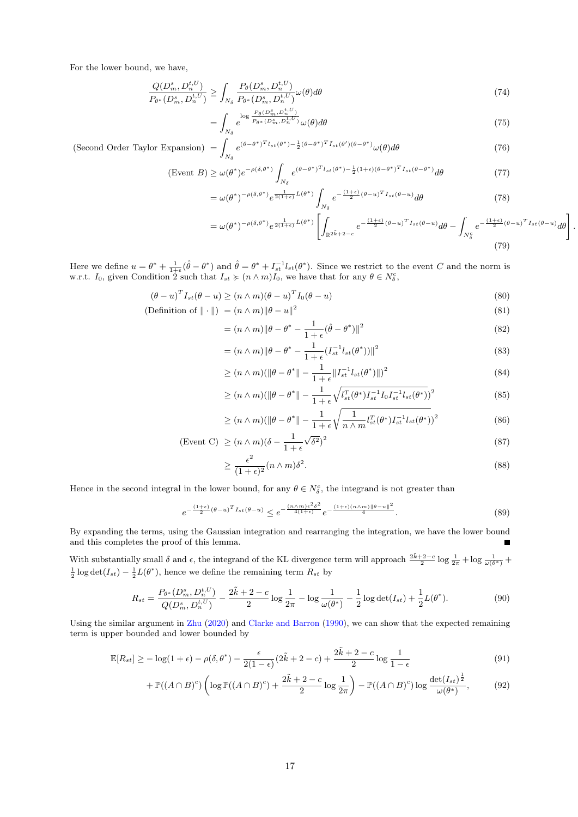For the lower bound, we have,

$$
\frac{Q(D_m^s, D_n^{t,U})}{P_{\theta^*}(D_m^s, D_n^{t,U})} \ge \int_{N_\delta} \frac{P_{\theta}(D_m^s, D_n^{t,U})}{P_{\theta^*}(D_m^s, D_n^{t,U})} \omega(\theta) d\theta \tag{74}
$$

$$
=\int_{N_{\delta}} e^{\log \frac{P_{\theta}(D_m^s, D_n^{t, U})}{P_{\theta^*}(D_m^s, D_n^{t, U})}} \omega(\theta) d\theta \tag{75}
$$

(Second Order Taylor Expansion)  $=$  $N_{\delta}$  $e^{(\theta - \theta^*)^T l_{st}(\theta^*) - \frac{1}{2}(\theta - \theta^*)^T \tilde{I}_{st}(\theta')(\theta - \theta^*)} \omega(\theta) d\theta$  (76)

$$
\text{(Event } B) \ge \omega(\theta^*) e^{-\rho(\delta, \theta^*)} \int_{N_\delta} e^{(\theta - \theta^*)^T l_{st}(\theta^*) - \frac{1}{2}(1+\epsilon)(\theta - \theta^*)^T l_{st}(\theta - \theta^*)} d\theta \tag{77}
$$

$$
= \omega(\theta^*)^{-\rho(\delta,\theta^*)} e^{\frac{1}{2(1+\epsilon)}L(\theta^*)} \int_{N_\delta} e^{-\frac{(1+\epsilon)}{2}(\theta-u)^T I_{st}(\theta-u)} d\theta \tag{78}
$$

$$
= \omega(\theta^*)^{-\rho(\delta,\theta^*)} e^{\frac{1}{2(1+\epsilon)}L(\theta^*)} \left[ \int_{\mathbb{R}^{2\tilde{k}+2-c}} e^{-\frac{(1+\epsilon)}{2}(\theta-u)^T I_{st}(\theta-u)} d\theta - \int_{N_\delta^c} e^{-\frac{(1+\epsilon)}{2}(\theta-u)^T I_{st}(\theta-u)} d\theta \right]
$$
(79)

.

Here we define  $u = \theta^* + \frac{1}{1+\epsilon}(\hat{\theta} - \theta^*)$  and  $\hat{\theta} = \theta^* + I_{st}^{-1}l_{st}(\theta^*)$ . Since we restrict to the event C and the norm is w.r.t.  $I_0$ , given Condition 2 such that  $I_{st} \succcurlyeq (n \wedge m)I_0$ , we have that for any  $\theta \in N_\delta^c$ ,

$$
(\theta - u)^{T} I_{st}(\theta - u) \ge (n \wedge m)(\theta - u)^{T} I_{0}(\theta - u)
$$
\n(80)

$$
(\text{Definition of } \|\cdot\|) = (n \wedge m) \|\theta - u\|^2 \tag{81}
$$

$$
= (n \wedge m) \|\theta - \theta^* - \frac{1}{1+\epsilon}(\hat{\theta} - \theta^*)\|^2
$$
\n(82)

$$
= (n \wedge m) \|\theta - \theta^* - \frac{1}{1+\epsilon} (I_{st}^{-1} l_{st}(\theta^*))\|^2
$$
\n(83)

$$
\geq (n \wedge m)(\|\theta - \theta^*\| - \frac{1}{1+\epsilon} \|I_{st}^{-1} l_{st}(\theta^*)\|)^2
$$
\n(84)

$$
\geq (n \wedge m)(\|\theta - \theta^*\| - \frac{1}{1+\epsilon} \sqrt{I_{st}^T(\theta^*) I_{st}^{-1} I_0 I_{st}^{-1} I_{st}(\theta^*)})^2
$$
\n(85)

$$
\geq (n \wedge m)(\|\theta - \theta^*\| - \frac{1}{1+\epsilon} \sqrt{\frac{1}{n \wedge m} l_{st}^T(\theta^*) I_{st}^{-1} l_{st}(\theta^*)})^2
$$
\n
$$
(86)
$$

(Event C) 
$$
\geq (n \wedge m)(\delta - \frac{1}{1+\epsilon}\sqrt{\delta^2})^2
$$
 (87)

$$
\geq \frac{\epsilon^2}{(1+\epsilon)^2} (n \wedge m) \delta^2. \tag{88}
$$

Hence in the second integral in the lower bound, for any  $\theta \in N_{\delta}^{c}$ , the integrand is not greater than

$$
e^{-\frac{(1+\epsilon)}{2}(\theta-u)^{T}I_{st}(\theta-u)} \leq e^{-\frac{(n\wedge m)\epsilon^{2}\delta^{2}}{4(1+\epsilon)}e^{-\frac{(1+\epsilon)(n\wedge m)\|\theta-u\|^{2}}{4}}.
$$
\n
$$
(89)
$$

By expanding the terms, using the Gaussian integration and rearranging the integration, we have the lower bound and this completes the proof of this lemma. П

With substantially small  $\delta$  and  $\epsilon$ , the integrand of the KL divergence term will approach  $\frac{2\tilde{k}+2-c}{2}\log\frac{1}{2\pi}+\log\frac{1}{\omega(\theta^*)}$  $\frac{1}{2}\log \det(I_{st}) - \frac{1}{2}L(\theta^*)$ , hence we define the remaining term  $R_{st}$  by

$$
R_{st} = \frac{P_{\theta^*}(D_m^s, D_n^{t,U})}{Q(D_m^s, D_n^{t,U})} - \frac{2\tilde{k} + 2 - c}{2} \log \frac{1}{2\pi} - \log \frac{1}{\omega(\theta^*)} - \frac{1}{2} \log \det(I_{st}) + \frac{1}{2} L(\theta^*).
$$
(90)

Using the similar argument in [Zhu](#page-11-10) [\(2020\)](#page-11-10) and [Clarke and Barron](#page-10-21) [\(1990\)](#page-10-21), we can show that the expected remaining term is upper bounded and lower bounded by

$$
\mathbb{E}[R_{st}] \ge -\log(1+\epsilon) - \rho(\delta,\theta^*) - \frac{\epsilon}{2(1-\epsilon)}(2\tilde{k}+2-c) + \frac{2\tilde{k}+2-c}{2}\log\frac{1}{1-\epsilon}
$$
(91)

$$
+\,\mathbb{P}((A\cap B)^c)\left(\log \mathbb{P}((A\cap B)^c)+\frac{2\tilde{k}+2-c}{2}\log\frac{1}{2\pi}\right)-\mathbb{P}((A\cap B)^c)\log\frac{\det(I_{st})^{\frac{1}{2}}}{\omega(\theta^*)},\qquad(92)
$$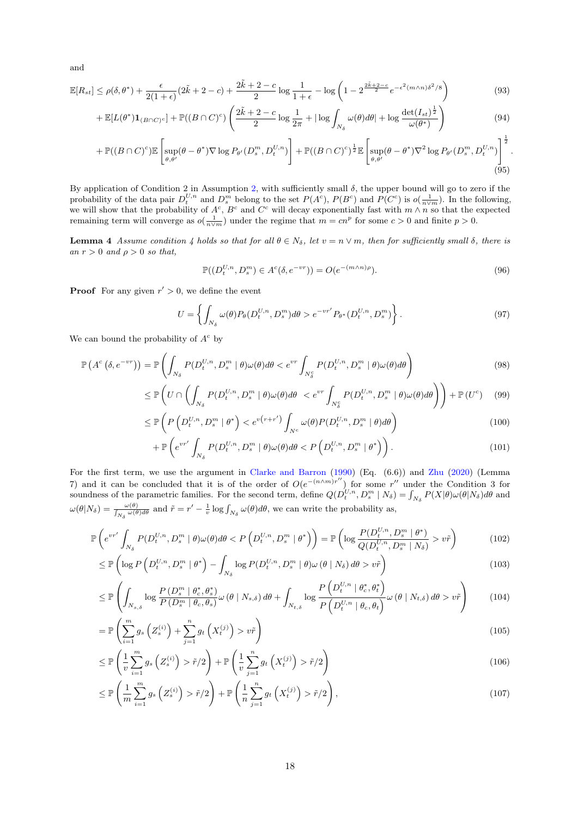and

$$
\mathbb{E}[R_{st}] \le \rho(\delta, \theta^*) + \frac{\epsilon}{2(1+\epsilon)} (2\tilde{k} + 2 - c) + \frac{2\tilde{k} + 2 - c}{2} \log \frac{1}{1+\epsilon} - \log \left(1 - 2^{\frac{2\tilde{k} + 2 - c}{2}} e^{-\epsilon^2 (m \wedge n) \delta^2 / 8} \right)
$$
(93)

$$
+\mathbb{E}[L(\theta^*)\mathbf{1}_{(B\cap C)^c}] + \mathbb{P}((B\cap C)^c) \left(\frac{2\tilde{k}+2-c}{2}\log\frac{1}{2\pi} + |\log \int_{N_\delta} \omega(\theta)d\theta| + \log\frac{\det(I_{st})^{\frac{1}{2}}}{\omega(\theta^*)}\right) \tag{94}
$$

$$
+\,\mathbb{P}((B\cap C)^c)\mathbb{E}\left[\sup_{\theta,\theta'}(\theta-\theta^*)\nabla\log P_{\theta'}(D_s^m,D_t^{U,n})\right]+\mathbb{P}((B\cap C)^c)^{\frac{1}{2}}\mathbb{E}\left[\sup_{\theta,\theta'}(\theta-\theta^*)\nabla^2\log P_{\theta'}(D_s^m,D_t^{U,n})\right]^{\frac{1}{2}}.\tag{95}
$$

By application of Condition 2 in Assumption [2,](#page-7-0) with sufficiently small  $\delta$ , the upper bound will go to zero if the probability of the data pair  $D_t^{U,n}$  and  $D_s^m$  belong to the set  $P(A^c)$ ,  $P(B^c)$  and  $P(C^c)$  is  $o(\frac{1}{n\vee m})$ . In the following, we will show that the probability of  $A^c$ ,  $B^c$  and  $C^c$  will decay exponentially fast with  $m \wedge n$  so that the expected remaining term will converge as  $o(\frac{1}{n \vee m})$  under the regime that  $m = cn^p$  for some  $c > 0$  and finite  $p > 0$ .

**Lemma 4** Assume condition 4 holds so that for all  $\theta \in N_{\delta}$ , let  $v = n \vee m$ , then for sufficiently small  $\delta$ , there is an  $r > 0$  and  $\rho > 0$  so that,

$$
\mathbb{P}((D_t^{U,n}, D_s^m) \in A^c(\delta, e^{-vr})) = O(e^{-(m \wedge n)\rho}).
$$
\n(96)

**Proof** For any given  $r' > 0$ , we define the event

$$
U = \left\{ \int_{N_{\delta}} \omega(\theta) P_{\theta}(D_t^{U,n}, D_s^m) d\theta > e^{-vr'} P_{\theta^*}(D_t^{U,n}, D_s^m) \right\}.
$$
 (97)

We can bound the probability of  $A^c$  by

$$
\mathbb{P}\left(A^{c}\left(\delta,e^{-vr}\right)\right) = \mathbb{P}\left(\int_{N_{\delta}} P(D_{t}^{U,n},D_{s}^{m} \mid \theta)\omega(\theta)d\theta < e^{vr}\int_{N_{\delta}^{c}} P(D_{t}^{U,n},D_{s}^{m} \mid \theta)\omega(\theta)d\theta\right) \tag{98}
$$

$$
\leq \mathbb{P}\left(U \cap \left(\int_{N_{\delta}} P(D_t^{U,n}, D_s^m \mid \theta) \omega(\theta) d\theta < e^{vr} \int_{N_{\delta}^c} P(D_t^{U,n}, D_s^m \mid \theta) \omega(\theta) d\theta\right)\right) + \mathbb{P}\left(U^c\right) \tag{99}
$$

$$
\leq \mathbb{P}\left(P\left(D_t^{U,n}, D_s^m \mid \theta^*\right) < e^{v\left(r+r'\right)} \int_{N^c} \omega(\theta) P(D_t^{U,n}, D_s^m \mid \theta) d\theta\right) \tag{100}
$$

$$
+\,\mathbb{P}\left(e^{vr'}\int_{N_{\delta}}P(D_t^{U,n},D_s^m\mid\theta)\omega(\theta)d\theta\rightlt P\left(D_t^{U,n},D_s^m\mid\theta^*\right)\right). \tag{101}
$$

For the first term, we use the argument in [Clarke and Barron](#page-10-21) [\(1990\)](#page-10-21) (Eq. (6.6)) and [Zhu](#page-11-10) [\(2020\)](#page-11-10) (Lemma 7) and it can be concluded that it is of the order of  $O(e^{-(n\wedge m)r''})$  for some r'' under the Condition 3 for soundness of the parametric families. For the second term, define  $Q(D_t^{U,n}, D_s^m \mid N_\delta) = \int_{N_\delta} P(X|\theta) \omega(\theta|N_\delta) d\theta$  and  $\omega(\theta|N_{\delta}) = \frac{\omega(\theta)}{\int_{N_{\delta}} \omega(\theta) d\theta}$  and  $\tilde{r} = r' - \frac{1}{v} \log \int_{N_{\delta}} \omega(\theta) d\theta$ , we can write the probability as,

$$
\mathbb{P}\left(e^{vr'}\int_{N_{\delta}} P(D_t^{U,n}, D_s^m \mid \theta)\omega(\theta)d\theta < P\left(D_t^{U,n}, D_s^m \mid \theta^*\right)\right) = \mathbb{P}\left(\log\frac{P(D_t^{U,n}, D_s^m \mid \theta^*)}{Q(D_t^{U,n}, D_s^m \mid N_{\delta})} > v\tilde{r}\right) \tag{102}
$$

$$
\leq \mathbb{P}\left(\log P\left(D_t^{U,n}, D_s^m \mid \theta^*\right) - \int_{N_\delta} \log P(D_t^{U,n}, D_s^m \mid \theta)\omega\left(\theta \mid N_\delta\right) d\theta > v\tilde{r}\right) \tag{103}
$$

$$
\leq \mathbb{P}\left(\int_{N_{s,\delta}} \log \frac{P\left(D_s^m \mid \theta_c^*, \theta_s^*\right)}{P\left(D_s^m \mid \theta_c, \theta_s\right)} \omega\left(\theta \mid N_{s,\delta}\right) d\theta + \int_{N_{t,\delta}} \log \frac{P\left(D_t^{U,n} \mid \theta_c^*, \theta_t^*\right)}{P\left(D_t^{U,n} \mid \theta_c, \theta_t\right)} \omega\left(\theta \mid N_{t,\delta}\right) d\theta > v\tilde{r}\right) \tag{104}
$$

$$
= \mathbb{P}\left(\sum_{i=1}^{m} g_s\left(Z_s^{(i)}\right) + \sum_{j=1}^{n} g_t\left(X_t^{(j)}\right) > v\tilde{r}\right) \tag{105}
$$

$$
\leq \mathbb{P}\left(\frac{1}{v}\sum_{i=1}^{m}g_s\left(Z_s^{(i)}\right) > \tilde{r}/2\right) + \mathbb{P}\left(\frac{1}{v}\sum_{j=1}^{n}g_t\left(X_t^{(j)}\right) > \tilde{r}/2\right) \tag{106}
$$

$$
\leq \mathbb{P}\left(\frac{1}{m}\sum_{i=1}^{m}g_s\left(Z_s^{(i)}\right) > \tilde{r}/2\right) + \mathbb{P}\left(\frac{1}{n}\sum_{j=1}^{n}g_t\left(X_t^{(j)}\right) > \tilde{r}/2\right),\tag{107}
$$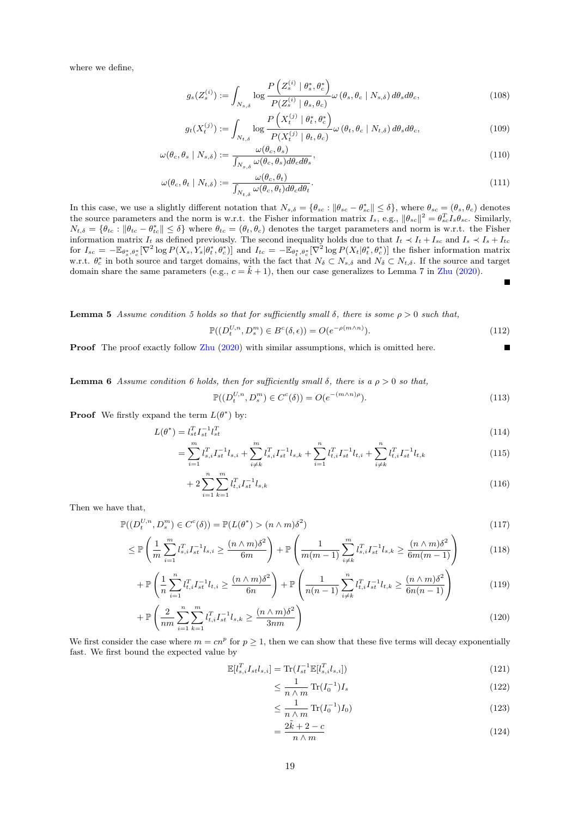where we define,

$$
g_s(Z_s^{(i)}) := \int_{N_{s,\delta}} \log \frac{P\left(Z_s^{(i)} \mid \theta_s^*, \theta_c^*\right)}{P(Z_s^{(i)} \mid \theta_s, \theta_c)} \omega\left(\theta_s, \theta_c \mid N_{s,\delta}\right) d\theta_s d\theta_c,\tag{108}
$$

$$
g_t(X_t^{(j)}) := \int_{N_{t,\delta}} \log \frac{P\left(X_t^{(j)} \mid \theta_t^*, \theta_c^*\right)}{P(X_t^{(j)} \mid \theta_t, \theta_c)} \omega\left(\theta_t, \theta_c \mid N_{t,\delta}\right) d\theta_s d\theta_c, \tag{109}
$$

$$
\omega(\theta_c, \theta_s \mid N_{s,\delta}) := \frac{\omega(\theta_c, \theta_s)}{\int_{N_{s,\delta}} \omega(\theta_c, \theta_s) d\theta_c d\theta_s},\tag{110}
$$

$$
\omega(\theta_c, \theta_t \mid N_{t,\delta}) := \frac{\omega(\theta_c, \theta_t)}{\int_{N_{t,\delta}} \omega(\theta_c, \theta_t) d\theta_c d\theta_t}.
$$
\n(111)

In this case, we use a slightly different notation that  $N_{s,\delta} = \{\theta_{sc} : ||\theta_{sc} - \theta_{sc}^*|| \le \delta\}$ , where  $\theta_{sc} = (\theta_s, \theta_c)$  denotes the source parameters and the norm is w.r.t. the Fisher information matrix  $I_s$ , e.g.,  $\|\theta_{sc}\|^2 = \theta_{sc}^T I_s \theta_{sc}$ . Similarly,  $N_{t,\delta} = \{\theta_{tc} : \|\theta_{tc} - \theta_{tc}^*\| \leq \delta\}$  where  $\theta_{tc} = (\theta_t, \theta_c)$  denotes the target parameters and norm is w.r.t. the Fisher information matrix  $I_t$  as defined previously. The second inequality holds due to that  $I_t \prec I_t + I_{sc}$  and  $I_s \prec I_s + I_{tc}$ for  $I_{sc} = -\mathbb{E}_{\theta_s^*,\theta_c^*}[\nabla^2 \log P(X_s,Y_s|\theta_t^*,\theta_c^*)]$  and  $I_{tc} = -\mathbb{E}_{\theta_t^*,\theta_c^*}[\nabla^2 \log P(X_t|\theta_t^*,\theta_c^*)]$  the fisher information matrix w.r.t.  $\theta_c^*$  in both source and target domains, with the fact that  $N_\delta \subset N_{s,\delta}$  and  $N_\delta \subset N_{t,\delta}$ . If the source and target domain share the same parameters (e.g.,  $c = \tilde{k} + 1$ ), then our case generalizes to Lemma 7 in [Zhu](#page-11-10) [\(2020\)](#page-11-10).

**Lemma 5** Assume condition 5 holds so that for sufficiently small  $\delta$ , there is some  $\rho > 0$  such that,

$$
\mathbb{P}((D_t^{U,n}, D_s^m) \in B^c(\delta, \epsilon)) = O(e^{-\rho(m \wedge n)}).
$$
\n(112)

Е

Proof The proof exactly follow [Zhu](#page-11-10) [\(2020\)](#page-11-10) with similar assumptions, which is omitted here.

**Lemma 6** Assume condition 6 holds, then for sufficiently small  $\delta$ , there is a  $\rho > 0$  so that,

$$
\mathbb{P}((D_t^{U,n}, D_s^m) \in C^c(\delta)) = O(e^{-(m \wedge n)\rho}).\tag{113}
$$

**Proof** We firstly expand the term  $L(\theta^*)$  by:

$$
L(\theta^*) = l_{st}^T l_{st}^{-1} l_{st}^T
$$
\n
$$
\frac{m}{l} \sum_{m} m_{st}^T l_{st}^T
$$
\n
$$
(114)
$$

$$
= \sum_{i=1}^{m} l_{s,i}^{T} I_{st}^{-1} l_{s,i} + \sum_{i \neq k}^{m} l_{s,i}^{T} I_{st}^{-1} l_{s,k} + \sum_{i=1}^{n} l_{t,i}^{T} I_{st}^{-1} l_{t,i} + \sum_{i \neq k}^{n} l_{t,i}^{T} I_{st}^{-1} l_{t,k}
$$
\n(115)

$$
+2\sum_{i=1}^{n}\sum_{k=1}^{m}l_{t,i}^{T}I_{st}^{-1}l_{s,k} \tag{116}
$$

Then we have that,

$$
\mathbb{P}((D_t^{U,n}, D_s^m) \in C^c(\delta)) = \mathbb{P}(L(\theta^*) > (n \wedge m)\delta^2)
$$
\n(117)

$$
\leq \mathbb{P}\left(\frac{1}{m}\sum_{i=1}^{m}l_{s,i}^{T}I_{st}^{-1}l_{s,i} \geq \frac{(n\wedge m)\delta^{2}}{6m}\right) + \mathbb{P}\left(\frac{1}{m(m-1)}\sum_{i\neq k}^{m}l_{s,i}^{T}I_{st}^{-1}l_{s,k} \geq \frac{(n\wedge m)\delta^{2}}{6m(m-1)}\right) \tag{118}
$$

$$
+ \mathbb{P}\left(\frac{1}{n}\sum_{i=1}^{n}l_{t,i}^{T}I_{st}^{-1}l_{t,i} \ge \frac{(n\wedge m)\delta^{2}}{6n}\right) + \mathbb{P}\left(\frac{1}{n(n-1)}\sum_{i\ne k}^{n}l_{t,i}^{T}I_{st}^{-1}l_{t,k} \ge \frac{(n\wedge m)\delta^{2}}{6n(n-1)}\right)
$$
(119)

$$
+\mathbb{P}\left(\frac{2}{nm}\sum_{i=1}^{n}\sum_{k=1}^{m}l_{t,i}^{T}I_{st}^{-1}l_{s,k}\geq\frac{(n\wedge m)\delta^{2}}{3nm}\right)
$$
\n(120)

We first consider the case where  $m = cn^p$  for  $p \ge 1$ , then we can show that these five terms will decay exponentially fast. We first bound the expected value by

$$
\mathbb{E}[l_{s,i}^T I_{st} l_{s,i}] = \text{Tr}(I_{st}^{-1} \mathbb{E}[l_{s,i}^T l_{s,i}])
$$
\n(121)

$$
\leq \frac{1}{n \wedge m} \operatorname{Tr}(I_0^{-1}) I_s \tag{122}
$$

$$
\leq \frac{1}{n \wedge m} \operatorname{Tr}(I_0^{-1}) I_0) \tag{123}
$$

$$
=\frac{2\tilde{k}+2-c}{n\wedge m}\tag{124}
$$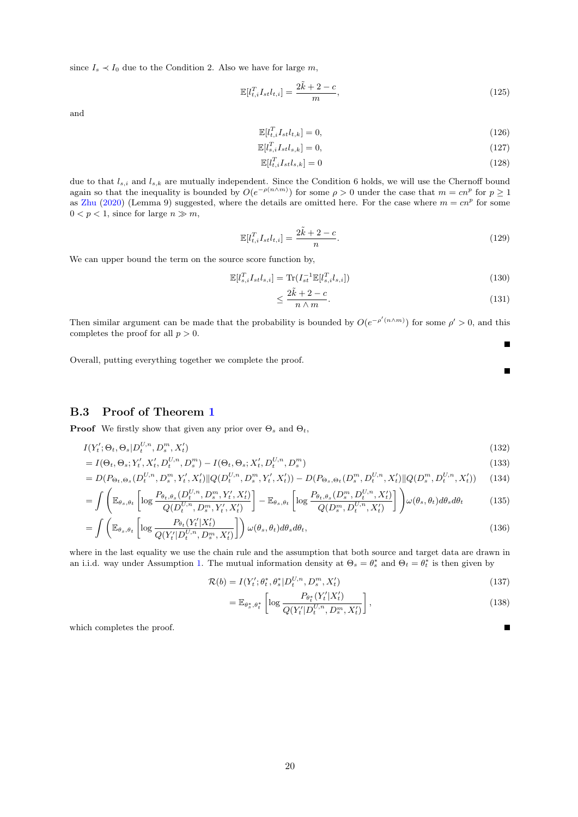since  $I_s \prec I_0$  due to the Condition 2. Also we have for large m,

$$
\mathbb{E}[l_{t,i}^T I_{st} l_{t,i}] = \frac{2\tilde{k} + 2 - c}{m},\tag{125}
$$

and

$$
\mathbb{E}[l_{t,i}^T I_{st} l_{t,k}] = 0,\tag{126}
$$

$$
\mathbb{E}[l_{s,i}^T I_{st} l_{s,k}] = 0,\tag{127}
$$

$$
\mathbb{E}[l_{t,i}^T I_{st} l_{s,k}] = 0 \tag{128}
$$

due to that  $l_{s,i}$  and  $l_{s,k}$  are mutually independent. Since the Condition 6 holds, we will use the Chernoff bound again so that the inequality is bounded by  $O(e^{-\rho(n\wedge m)})$  for some  $\rho > 0$  under the case that  $m = cn^p$  for  $p \ge 1$ as [Zhu](#page-11-10) [\(2020\)](#page-11-10) (Lemma 9) suggested, where the details are omitted here. For the case where  $m = cn^p$  for some  $0 < p < 1$ , since for large  $n \gg m$ ,

$$
\mathbb{E}[l_{t,i}^T I_{st} l_{t,i}] = \frac{2\tilde{k} + 2 - c}{n}.
$$
\n(129)

We can upper bound the term on the source score function by,

$$
\mathbb{E}[l_{s,i}^T I_{st} l_{s,i}] = \text{Tr}(I_{st}^{-1} \mathbb{E}[l_{s,i}^T l_{s,i}])
$$
\n(130)

$$
\leq \frac{2\tilde{k} + 2 - c}{n \wedge m}.\tag{131}
$$

Then similar argument can be made that the probability is bounded by  $O(e^{-\rho' (n\wedge m)})$  for some  $\rho' > 0$ , and this completes the proof for all  $p > 0$ .

Overall, putting everything together we complete the proof.

B.3 Proof of Theorem [1](#page-6-3)

**Proof** We firstly show that given any prior over  $\Theta_s$  and  $\Theta_t$ ,

$$
I(Y'_t; \Theta_t, \Theta_s | D_t^{U,n}, D_s^m, X'_t) \tag{132}
$$

$$
= I(\Theta_t, \Theta_s; Y'_t, X'_t, D_t^{U,n}, D_s^m) - I(\Theta_t, \Theta_s; X'_t, D_t^{U,n}, D_s^m)
$$
\n(133)

$$
= D(P_{\Theta_t, \Theta_s}(D_t^{U, n}, D_s^m, Y_t', X_t') \| Q(D_t^{U, n}, D_s^m, Y_t', X_t')) - D(P_{\Theta_s, \Theta_t}(D_s^m, D_t^{U, n}, X_t') \| Q(D_s^m, D_t^{U, n}, X_t')) \tag{134}
$$

$$
= \int \left( \mathbb{E}_{\theta_s, \theta_t} \left[ \log \frac{P_{\theta_t, \theta_s}(D_t^{U, n}, D_s^m, Y_t', X_t')}{Q(D_t^{U, n}, D_s^m, Y_t', X_t')} \right] - \mathbb{E}_{\theta_s, \theta_t} \left[ \log \frac{P_{\theta_t, \theta_s}(D_s^m, D_t^{U, n}, X_t')}{Q(D_s^m, D_t^{U, n}, X_t')} \right] \right) \omega(\theta_s, \theta_t) d\theta_s d\theta_t \tag{135}
$$

$$
= \int \left( \mathbb{E}_{\theta_s, \theta_t} \left[ \log \frac{P_{\theta_t}(Y_t'|X_t')}{Q(Y_t'|D_t^{U,n}, D_s^m, X_t')} \right] \right) \omega(\theta_s, \theta_t) d\theta_s d\theta_t, \tag{136}
$$

where in the last equality we use the chain rule and the assumption that both source and target data are drawn in an i.i.d. way under Assumption [1.](#page-4-2) The mutual information density at  $\Theta_s = \theta_s^*$  and  $\Theta_t = \theta_t^*$  is then given by

$$
\mathcal{R}(b) = I(Y'_t; \theta_t^*, \theta_s^* | D_t^{U, n}, D_s^m, X'_t)
$$
\n(137)

$$
= \mathbb{E}_{\theta_s^*, \theta_t^*} \left[ \log \frac{P_{\theta_t^*}(Y_t'|X_t')}{Q(Y_t'|D_t^{U,n}, D_s^m, X_t')} \right],
$$
\n(138)

which completes the proof.

 $\blacksquare$ 

 $\blacksquare$ 

 $\blacksquare$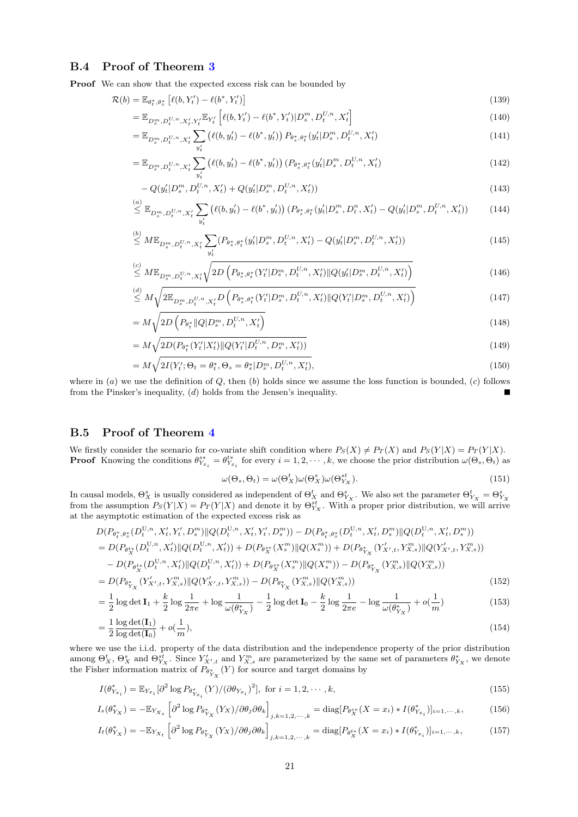### B.4 Proof of Theorem [3](#page-7-4)

Proof We can show that the expected excess risk can be bounded by

$$
\mathcal{R}(b) = \mathbb{E}_{\theta_t^*, \theta_s^*} \left[ \ell(b, Y_t') - \ell(b^*, Y_t') \right] \tag{139}
$$

$$
= \mathbb{E}_{D_s^m, D_t^{U,n}, X_t', Y_t'} \mathbb{E}_{Y_t'} \left[ \ell(b, Y_t') - \ell(b^*, Y_t') | D_s^m, D_t^{U,n}, X_t' \right] \tag{140}
$$

$$
= \mathbb{E}_{D_s^m, D_t^{U,n}, X_t'} \sum_{y_t'} \left( \ell(b, y_t') - \ell(b^*, y_t') \right) P_{\theta_s^*, \theta_t^*}(y_t' | D_s^m, D_t^{U,n}, X_t') \tag{141}
$$

$$
= \mathbb{E}_{D_s^m, D_t^{U,n}, X_t'} \sum_{y_t'} \left( \ell(b, y_t') - \ell(b^*, y_t') \right) \left( P_{\theta_s^*, \theta_t^*} (y_t' | D_s^m, D_t^{U,n}, X_t') \right) \tag{142}
$$

$$
-Q(y'_t|D_s^m, D_t^{U,n}, X'_t) + Q(y'_t|D_s^m, D_t^{U,n}, X'_t))
$$
\n(143)

$$
\stackrel{(a)}{\leq} \mathbb{E}_{D_s^m, D_t^{U,n}, X_t'} \sum_{y_t'} \left( \ell(b, y_t') - \ell(b^*, y_t') \right) \left( P_{\theta_s^*, \theta_t^*} (y_t' | D_s^m, D_t^n, X_t') - Q(y_t' | D_s^m, D_t^{U,n}, X_t') \right) \tag{144}
$$

$$
\stackrel{(b)}{\leq} M\mathbb{E}_{D_s^m, D_t^{U,n}, X_t'} \sum_{y_t'} (P_{\theta_s^*, \theta_t^*}(y_t' | D_s^m, D_t^{U,n}, X_t') - Q(y_t' | D_s^m, D_t^{U,n}, X_t')) \tag{145}
$$

$$
\leq M \mathbb{E}_{D_s^m, D_t^{U,n}, X_t'} \sqrt{2D\left(P_{\theta_s^*, \theta_t^*}(Y_t'|D_s^m, D_t^{U,n}, X_t') \| Q(y_t'|D_s^m, D_t^{U,n}, X_t')\right)}
$$
\n(146)

$$
\stackrel{(d)}{\leq} M \sqrt{2\mathbb{E}_{D_s^m, D_t^{U,n}, X_t'} D\left(P_{\theta_s^*, \theta_t^*}(Y_t' | D_s^m, D_t^{U,n}, X_t') \| Q(Y_t' | D_s^m, D_t^{U,n}, X_t')\right)}
$$
\n
$$
(147)
$$

$$
= M\sqrt{2D\left(P_{\theta_t^*} \| Q | D_s^m, D_t^{U,n}, X_t'\right)}
$$
\n(148)

$$
= M\sqrt{2D(P_{\theta_t^*}(Y_t'|X_t')\|Q(Y_t'|D_t^{U,n}, D_s^m, X_t'))}
$$
\n
$$
M \sqrt{2I(Y_t; Q_{t-1}Q_t^*|Q_{t-1}Q_{t-1}^{U,n}|D_t^{U,n}, Y_t')}
$$
\n
$$
(150)
$$
\n
$$
(150)
$$

$$
= M\sqrt{2I(Y'_t; \Theta_t = \theta_t^*, \Theta_s = \theta_s^* | D_s^m, D_t^{U,n}, X'_t)},
$$
\n(150)

where in  $(a)$  we use the definition of  $Q$ , then  $(b)$  holds since we assume the loss function is bounded,  $(c)$  follows from the Pinsker's inequality, (d) holds from the Jensen's inequality.

### B.5 Proof of Theorem [4](#page-8-2)

 $\frac{1}{2}$ 

We firstly consider the scenario for co-variate shift condition where  $P_S(X) \neq P_T(X)$  and  $P_S(Y|X) = P_T(Y|X)$ . **Proof** Knowing the conditions  $\theta_{Y_{x_i}}^{s*} = \theta_{Y_{x_i}}^{t*}$  for every  $i = 1, 2, \dots, k$ , we choose the prior distribution  $\omega(\Theta_s, \Theta_t)$  as

$$
\omega(\Theta_s, \Theta_t) = \omega(\Theta_X^t)\omega(\Theta_X^s)\omega(\Theta_{Y_X}^{st}).
$$
\n(151)

In causal models,  $\Theta_X^s$  is usually considered as independent of  $\Theta_X^t$  and  $\Theta_{Y_X}^s$ . We also set the parameter  $\Theta_{Y_X}^t = \Theta_{Y_X}^s$  from the assumption  $P_S(Y|X) = P_T(Y|X)$  and denote it by  $\Theta_{Y_X}^{st}$ . With a proper prior at the asymptotic estimation of the expected excess risk as

$$
D(P_{\theta_t^*,\theta_s^*}(D_t^{U,n}, X_t', Y_t', D_s^m) || Q(D_t^{U,n}, X_t', Y_t', D_s^m)) - D(P_{\theta_t^*,\theta_s^*}(D_t^{U,n}, X_t', D_s^m) || Q(D_t^{U,n}, X_t', D_s^m))
$$
  
\n
$$
= D(P_{\theta_s^*}(D_t^{U,n}, X_t') || Q(D_t^{U,n}, X_t')) + D(P_{\theta_s^*}(X_s^m) || Q(X_s^m)) + D(P_{\theta_{X}^*}(Y_{X',t}', Y_{X,s}^m) || Q(Y_{X',t}', Y_{X,s}^m))
$$
  
\n
$$
- D(P_{\theta_{X}^*}(D_t^{U,n}, X_t') || Q(D_t^{U,n}, X_t')) + D(P_{\theta_{X}^*}(X_s^m) || Q(X_s^m)) - D(P_{\theta_{Y_X}^*}(Y_{X,s}^m) || Q(Y_{X,s}^m))
$$
  
\n
$$
= D(P_{\theta_{Y_X}^*}(Y_{X',t}', Y_{X,s}^m) || Q(Y_{X',t}', Y_{X,s}^m)) - D(P_{\theta_{Y_X}^*}(Y_{X,s}^m) || Q(Y_{X,s}^m))
$$
\n
$$
(152)
$$

$$
= \frac{1}{2} \log \det \mathbf{I}_1 + \frac{k}{2} \log \frac{1}{2\pi e} + \log \frac{1}{\omega(\theta_{Y_X}^*)} - \frac{1}{2} \log \det \mathbf{I}_0 - \frac{k}{2} \log \frac{1}{2\pi e} - \log \frac{1}{\omega(\theta_{Y_X}^*)} + o(\frac{1}{m})
$$
(153)

$$
=\frac{1}{2}\frac{\log\det(\mathbf{I}_1)}{\log\det(\mathbf{I}_0)}+o(\frac{1}{m}),\tag{154}
$$

where we use the i.i.d. property of the data distribution and the independence property of the prior distribution among  $\Theta_X^t$ ,  $\Theta_X^s$  and  $\Theta_{Y_X}^{st}$ . Since  $Y'_{X',t}$  and  $Y_{X,s}^m$  are parameterized by the same set of parameters  $\theta_{Y_X}^*$ , we denote the Fisher information matrix of  $P_{\theta_{Y_X}^*}(Y)$  for source and target domains by

$$
I(\theta_{Y_{x_i}}^*) = \mathbb{E}_{Y_{x_i}}[\partial^2 \log P_{\theta_{Y_{x_i}}^*}(Y) / (\partial \theta_{Y_{x_i}})^2], \text{ for } i = 1, 2, \cdots, k,
$$
\n(155)

$$
I_s(\theta_{Y_X}^*) = -\mathbb{E}_{Y_{X_s}} \left[ \partial^2 \log P_{\theta_{Y_X}^*}(Y_X) / \partial \theta_j \partial \theta_k \right]_{j,k=1,2,\cdots,k} = \text{diag}[P_{\theta_X^{s*}}(X=x_i) * I(\theta_{Y_{x_i}}^*)]_{i=1,\cdots,k},
$$
(156)

$$
I_t(\theta_{Y_X}^*) = -\mathbb{E}_{Y_{X_t}} \left[ \partial^2 \log P_{\theta_{Y_X}^*}(Y_X) / \partial \theta_j \partial \theta_k \right]_{j,k=1,2,\cdots,k} = \text{diag}[P_{\theta_X^{t*}}(X=x_i) * I(\theta_{Y_{x_i}}^*)]_{i=1,\cdots,k},
$$
(157)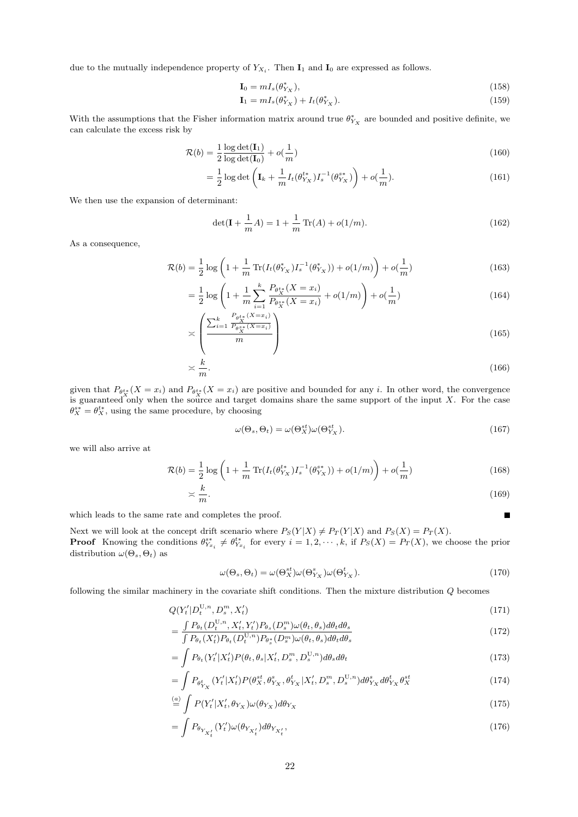due to the mutually independence property of  $Y_{X_i}$ . Then  $\mathbf{I}_1$  and  $\mathbf{I}_0$  are expressed as follows.

$$
\mathbf{I}_0 = m I_s(\theta_{Y_X}^*),\tag{158}
$$

$$
\mathbf{I}_1 = m I_s(\theta_{Y_X}^*) + I_t(\theta_{Y_X}^*). \tag{159}
$$

With the assumptions that the Fisher information matrix around true  $\theta_{Y_X}^*$  are bounded and positive definite, we can calculate the excess risk by

$$
\mathcal{R}(b) = \frac{1}{2} \frac{\log \det(\mathbf{I}_1)}{\log \det(\mathbf{I}_0)} + o(\frac{1}{m})
$$
\n(160)

$$
= \frac{1}{2} \log \det \left( \mathbf{I}_k + \frac{1}{m} I_t(\theta_{Y_X}^{t*}) I_s^{-1}(\theta_{Y_X}^{s*}) \right) + o(\frac{1}{m}). \tag{161}
$$

We then use the expansion of determinant:

$$
\det(\mathbf{I} + \frac{1}{m}A) = 1 + \frac{1}{m}\operatorname{Tr}(A) + o(1/m). \tag{162}
$$

As a consequence,

$$
\mathcal{R}(b) = \frac{1}{2} \log \left( 1 + \frac{1}{m} \operatorname{Tr} (I_t(\theta_{Y_X}^*) I_s^{-1}(\theta_{Y_X}^*)) + o(1/m) \right) + o(\frac{1}{m}) \tag{163}
$$

$$
= \frac{1}{2} \log \left( 1 + \frac{1}{m} \sum_{i=1}^{k} \frac{P_{\theta_X^{**}}(X = x_i)}{P_{\theta_X^{**}}(X = x_i)} + o(1/m) \right) + o(\frac{1}{m})
$$
(164)

$$
\asymp \left(\frac{\sum_{i=1}^{k} \frac{P_{\theta_{\mathcal{X}}^{*}}(X=x_i)}{P_{\theta_{\mathcal{X}}^{*}}(X=x_i)}}{m}\right)
$$
(165)

$$
\asymp \frac{k}{m}.\tag{166}
$$

given that  $P_{\theta_X^{t*}}(X = x_i)$  and  $P_{\theta_X^{t*}}(X = x_i)$  are positive and bounded for any i. In other word, the convergence is guaranteed only when the source and target domains share the same support of the input  $X$ . For the case  $\theta_X^{s*} = \theta_X^{t*}$ , using the same procedure, by choosing

$$
\omega(\Theta_s, \Theta_t) = \omega(\Theta_X^{st}) \omega(\Theta_{Y_X}^{st}).
$$
\n(167)

Ē

we will also arrive at

$$
\mathcal{R}(b) = \frac{1}{2} \log \left( 1 + \frac{1}{m} \operatorname{Tr} (I_t(\theta_{Y_X}^{t*}) I_s^{-1}(\theta_{Y_X}^{s*})) + o(1/m) \right) + o(\frac{1}{m})
$$
\n(168)

$$
\asymp \frac{k}{m}.\tag{169}
$$

which leads to the same rate and completes the proof.

Next we will look at the concept drift scenario where  $P_S(Y|X) \neq P_T(Y|X)$  and  $P_S(X) = P_T(X)$ . **Proof** Knowing the conditions  $\theta_{Y_{x_i}}^{s*} \neq \theta_{Y_{x_i}}^{t*}$  for every  $i = 1, 2, \dots, k$ , if  $P_S(X) = P_T(X)$ , we choose the prior distribution  $\omega(\Theta_s, \Theta_t)$  as

$$
\omega(\Theta_s, \Theta_t) = \omega(\Theta_X^{st})\omega(\Theta_{Y_X}^s)\omega(\Theta_{Y_X}^t). \tag{170}
$$

following the similar machinery in the covariate shift conditions. Then the mixture distribution Q becomes

$$
Q(Y'_t|D_t^{U,n}, D_s^m, X'_t) \tag{171}
$$

$$
=\frac{\int P_{\theta_t}(D_t^{U,n}, X'_t, Y'_t)P_{\theta_s}(D_s^m)\omega(\theta_t, \theta_s)d\theta_t d\theta_s}{\int P_{\theta_t}(X'_t)P_{\theta_t}(D_t^{U,n})P_{\theta_s^*}(D_s^m)\omega(\theta_t, \theta_s)d\theta_t d\theta_s}
$$
\n(172)

$$
= \int P_{\theta_t}(Y_t'|X_t') P(\theta_t, \theta_s|X_t', D_s^m, D_s^{U,n}) d\theta_s d\theta_t
$$
\n(173)

$$
= \int P_{\theta_{Y_X}^t} (Y_t'|X_t') P(\theta_X^{st}, \theta_{Y_X}^s, \theta_{Y_X}^t | X_t', D_s^m, D_s^{U,n}) d\theta_{Y_X}^s d\theta_{Y_X}^t \theta_X^{st}
$$
(174)

$$
\stackrel{(a)}{=} \int P(Y_t'|X_t', \theta_{Y_X}) \omega(\theta_{Y_X}) d\theta_{Y_X}
$$
\n(175)

$$
=\int P_{\theta_{Y_{X'_t}}}(Y'_t)\omega(\theta_{Y_{X'_t}})d\theta_{Y_{X'_t}},
$$
\n(176)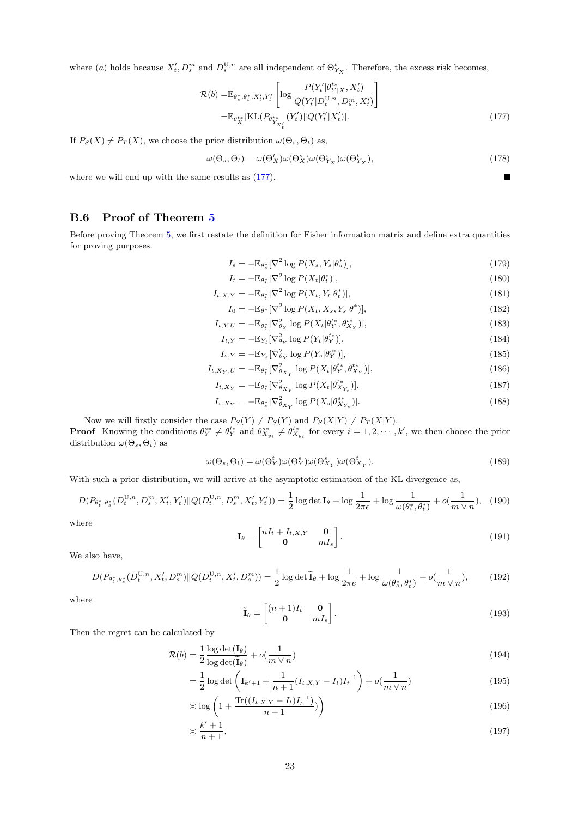where (a) holds because  $X'_t, D_s^m$  and  $D_s^{\mathrm{U},n}$  are all independent of  $\Theta_{Y_X}^t$ . Therefore, the excess risk becomes,

$$
\mathcal{R}(b) = \mathbb{E}_{\theta_s^*, \theta_t^*, X_t', Y_t'} \left[ \log \frac{P(Y_t'| \theta_{Y|X}^{*}, X_t')}{Q(Y_t'|D_t^{U,n}, D_s^m, X_t')} \right]
$$
\n
$$
= \mathbb{E}_{\theta_x^{t*}} [\text{KL}(P_{\theta_{Y_{X_t}^*}}(Y_t') || Q(Y_t'|X_t')]. \tag{177}
$$

If  $P_S(X) \neq P_T(X)$ , we choose the prior distribution  $\omega(\Theta_s, \Theta_t)$  as,

<span id="page-22-0"></span>
$$
\omega(\Theta_s, \Theta_t) = \omega(\Theta_X^t)\omega(\Theta_X^s)\omega(\Theta_{Y_X}^t)\omega(\Theta_{Y_X}^t),
$$
\n(178)

where we will end up with the same results as  $(177)$ .

### B.6 Proof of Theorem [5](#page-9-1)

Before proving Theorem [5,](#page-9-1) we first restate the definition for Fisher information matrix and define extra quantities for proving purposes.

$$
I_s = -\mathbb{E}_{\theta_s^*}[\nabla^2 \log P(X_s, Y_s | \theta_s^*)],\tag{179}
$$

$$
I_t = -\mathbb{E}_{\theta_t^*}[\nabla^2 \log P(X_t|\theta_t^*)],\tag{180}
$$

$$
I_{t,X,Y} = -\mathbb{E}_{\theta_t^*}[\nabla^2 \log P(X_t, Y_t | \theta_t^*)],\tag{181}
$$

$$
I_0 = -\mathbb{E}_{\theta^*}[\nabla^2 \log P(X_t, X_s, Y_s | \theta^*)],\tag{182}
$$

$$
I_{t,Y,U} = -\mathbb{E}_{\theta_t^*} [\nabla_{\theta_Y}^2 \log P(X_t | \theta_Y^{t*}, \theta_{X_Y}^{t*})],\tag{183}
$$

$$
I_{t,Y} = -\mathbb{E}_{Y_t} [\nabla_{\theta_Y}^2 \log P(Y_t | \theta_Y^*)],
$$
\n
$$
I_{t,Y} = -\mathbb{E}_{Y_t} [\nabla_{\theta_Y}^2 \log P(Y_t | \theta_Y^*)],
$$
\n(184)

$$
I_{s,Y} = -\mathbb{E}_{Y_s} [\nabla_{\theta_Y}^2 \log P(Y_s | \theta_Y^{s*})],
$$
  
\n
$$
I_{t,X_Y,U} = -\mathbb{E}_{\theta_t^*} [\nabla_{\theta_{X_Y}}^2 \log P(X_t | \theta_Y^{t*}, \theta_{X_Y}^{t*})],
$$
\n(186)

$$
I_{t,X_Y} = -\mathbb{E}_{\theta_t^*} [\nabla_{\theta_{X_Y}}^2 \log P(X_t | \theta_{X_{Y_t}}^{t*})],\tag{187}
$$

$$
I_{s,X_Y} = -\mathbb{E}_{\theta_s^*} [\nabla_{\theta_{X_Y}}^2 \log P(X_s | \theta_{X_{Y_s}}^{s*})]. \tag{188}
$$

Now we will firstly consider the case  $P_S(Y) \neq P_S(Y)$  and  $P_S(X|Y) \neq P_T(X|Y)$ .

**Proof** Knowing the conditions  $\theta_Y^{s*} \neq \theta_Y^{t*}$  and  $\theta_{X_{y_i}}^{s*} \neq \theta_{X_{y_i}}^{t*}$  for every  $i = 1, 2, \dots, k'$ , we then choose the prior distribution  $\omega(\Theta_s, \Theta_t)$  as

$$
\omega(\Theta_s, \Theta_t) = \omega(\Theta_Y^t)\omega(\Theta_Y^s)\omega(\Theta_{X_Y}^s)\omega(\Theta_{X_Y}^t). \tag{189}
$$

With such a prior distribution, we will arrive at the asymptotic estimation of the KL divergence as,

$$
D(P_{\theta_t^*,\theta_s^*}(D_t^{U,n}, D_s^m, X_t', Y_t')\|Q(D_t^{U,n}, D_s^m, X_t', Y_t')) = \frac{1}{2}\log\det \mathbf{I}_{\theta} + \log\frac{1}{2\pi e} + \log\frac{1}{\omega(\theta_s^*,\theta_t^*)} + o(\frac{1}{m\vee n}), \quad (190)
$$

where

$$
\mathbf{I}_{\theta} = \begin{bmatrix} nI_t + I_{t,X,Y} & \mathbf{0} \\ \mathbf{0} & mI_s \end{bmatrix} .
$$
 (191)

We also have,

$$
D(P_{\theta_t^*, \theta_s^*}(D_t^{\mathbf{U}, n}, X_t', D_s^m) \| Q(D_t^{\mathbf{U}, n}, X_t', D_s^m)) = \frac{1}{2} \log \det \widetilde{\mathbf{I}}_{\theta} + \log \frac{1}{2\pi e} + \log \frac{1}{\omega(\theta_s^*, \theta_t^*)} + o(\frac{1}{m \vee n}),\tag{192}
$$

where

$$
\widetilde{\mathbf{I}}_{\theta} = \begin{bmatrix} (n+1)I_t & \mathbf{0} \\ \mathbf{0} & mI_s \end{bmatrix} . \tag{193}
$$

Then the regret can be calculated by

$$
\mathcal{R}(b) = \frac{1}{2} \frac{\log \det(\mathbf{I}_{\theta})}{\log \det(\widetilde{\mathbf{I}}_{\theta})} + o(\frac{1}{m \vee n})
$$
\n(194)

$$
= \frac{1}{2} \log \det \left( \mathbf{I}_{k'+1} + \frac{1}{n+1} (I_{t,X,Y} - I_t) I_t^{-1} \right) + o(\frac{1}{m \vee n})
$$
(195)

$$
\approx \log\left(1 + \frac{\text{Tr}((I_{t,X,Y} - I_t)I_t^{-1})}{n+1}\right) \tag{196}
$$

$$
\asymp \frac{k'+1}{n+1},\tag{197}
$$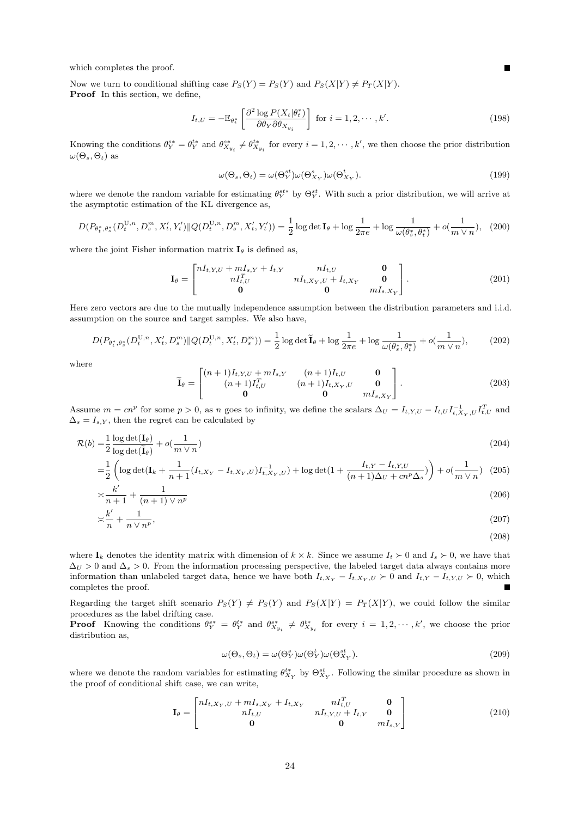which completes the proof.

Now we turn to conditional shifting case  $P_S(Y) = P_S(Y)$  and  $P_S(X|Y) \neq P_T(X|Y)$ . Proof In this section, we define,

<span id="page-23-0"></span>
$$
I_{t,U} = -\mathbb{E}_{\theta_t^*} \left[ \frac{\partial^2 \log P(X_t | \theta_t^*)}{\partial \theta_Y \partial \theta_{X_{y_i}}} \right] \text{ for } i = 1, 2, \cdots, k'. \tag{198}
$$

Knowing the conditions  $\theta_Y^{s*} = \theta_Y^{t*}$  and  $\theta_{X_{y_i}}^{s*} \neq \theta_{X_{y_i}}^{t*}$  for every  $i = 1, 2, \dots, k'$ , we then choose the prior distribution  $\omega(\Theta_s, \Theta_t)$  as

$$
\omega(\Theta_s, \Theta_t) = \omega(\Theta_Y^{st}) \omega(\Theta_{X_Y}^s) \omega(\Theta_{X_Y}^t).
$$
\n(199)

where we denote the random variable for estimating  $\theta_Y^{st*}$  by  $\Theta_Y^{st}$ . With such a prior distribution, we will arrive at the asymptotic estimation of the KL divergence as,

$$
D(P_{\theta_t^*, \theta_s^*}(D_t^{U, n}, D_s^m, X_t', Y_t')\|Q(D_t^{U, n}, D_s^m, X_t', Y_t')) = \frac{1}{2}\log\det \mathbf{I}_{\theta} + \log\frac{1}{2\pi e} + \log\frac{1}{\omega(\theta_s^*, \theta_t^*)} + o(\frac{1}{m\vee n}), \quad (200)
$$

where the joint Fisher information matrix  $I_{\theta}$  is defined as,

$$
\mathbf{I}_{\theta} = \begin{bmatrix} nI_{t,Y,U} + mI_{s,Y} + I_{t,Y} & nI_{t,U} & \mathbf{0} \\ nI_{t,U}^T & nI_{t,X_Y,U} + I_{t,X_Y} & \mathbf{0} \\ \mathbf{0} & \mathbf{0} & mI_{s,X_Y} \end{bmatrix} .
$$
 (201)

Here zero vectors are due to the mutually independence assumption between the distribution parameters and i.i.d. assumption on the source and target samples. We also have,

$$
D(P_{\theta_t^*, \theta_s^*}(D_t^{U, n}, X_t', D_s^m) \| Q(D_t^{U, n}, X_t', D_s^m)) = \frac{1}{2} \log \det \widetilde{\mathbf{I}}_{\theta} + \log \frac{1}{2\pi e} + \log \frac{1}{\omega(\theta_s^*, \theta_t^*)} + o(\frac{1}{m \vee n}), \tag{202}
$$

where

$$
\widetilde{\mathbf{I}}_{\theta} = \begin{bmatrix} (n+1)I_{t,Y,U} + mI_{s,Y} & (n+1)I_{t,U} & \mathbf{0} \\ (n+1)I_{t,U}^T & (n+1)I_{t,X_Y,U} & \mathbf{0} \\ \mathbf{0} & \mathbf{0} & mI_{s,X_Y} \end{bmatrix}.
$$
 (203)

Assume  $m = cn^p$  for some  $p > 0$ , as n goes to infinity, we define the scalars  $\Delta_U = I_{t,Y,U} - I_{t,U} I_{t,X_Y,U}^{-1} I_{t,U}^T$  and  $\Delta_s = I_{s,Y}$ , then the regret can be calculated by

$$
\mathcal{R}(b) = \frac{1}{2} \frac{\log \det(\mathbf{I}_{\theta})}{\log \det(\widetilde{\mathbf{I}}_{\theta})} + o(\frac{1}{m \vee n})
$$
\n(204)

$$
= \frac{1}{2} \left( \log \det(\mathbf{I}_k + \frac{1}{n+1} (I_{t, X_Y} - I_{t, X_Y, U}) I_{t, X_Y, U}^{-1}) + \log \det(1 + \frac{I_{t, Y} - I_{t, Y, U}}{(n+1)\Delta_U + cn^p \Delta_s}) \right) + o(\frac{1}{m \vee n}) \tag{205}
$$

$$
\asymp \frac{k'}{n+1} + \frac{1}{(n+1)\vee n^p} \tag{206}
$$

$$
\asymp \frac{k'}{n} + \frac{1}{n \vee n^p},\tag{207}
$$

$$
(208)
$$

where  $I_k$  denotes the identity matrix with dimension of  $k \times k$ . Since we assume  $I_t \succ 0$  and  $I_s \succ 0$ , we have that  $\Delta U > 0$  and  $\Delta s > 0$ . From the information processing perspective, the labeled target data always contains more information than unlabeled target data, hence we have both  $I_{t,X_Y} - I_{t,X_Y}$ ,  $U \succ 0$  and  $I_{t,Y} - I_{t,Y,U} \succ 0$ , which completes the proof. completes the proof.

Regarding the target shift scenario  $P_S(Y) \neq P_S(Y)$  and  $P_S(X|Y) = P_T(X|Y)$ , we could follow the similar procedures as the label drifting case.

**Proof** Knowing the conditions  $\theta_Y^{s*} = \theta_Y^{t*}$  and  $\theta_{X_{y_i}}^{s*} \neq \theta_{X_{y_i}}^{t*}$  for every  $i = 1, 2, \dots, k'$ , we choose the prior distribution as,

$$
\omega(\Theta_s, \Theta_t) = \omega(\Theta_Y^s)\omega(\Theta_Y^t)\omega(\Theta_{X_Y}^{st}).
$$
\n(209)

where we denote the random variables for estimating  $\theta_{X_Y}^{t*}$  by  $\Theta_{X_Y}^{st}$ . Following the similar procedure as shown in the proof of conditional shift case, we can write,

$$
\mathbf{I}_{\theta} = \begin{bmatrix} nI_{t, X_Y, U} + mI_{s, X_Y} + I_{t, X_Y} & nI_{t, U}^T & \mathbf{0} \\ nI_{t, U} & nI_{t, Y, U} + I_{t, Y} & \mathbf{0} \\ \mathbf{0} & \mathbf{0} & mI_{s, Y} \end{bmatrix}
$$
(210)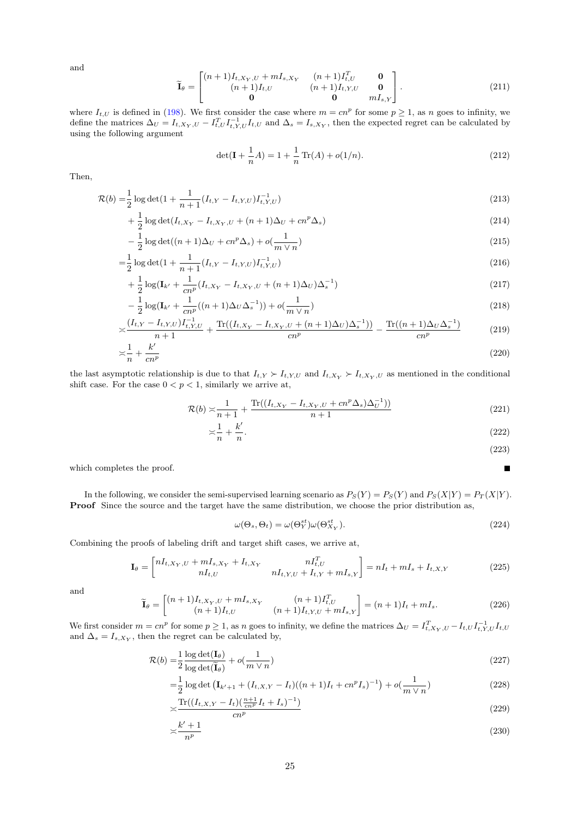and

$$
\widetilde{\mathbf{I}}_{\theta} = \begin{bmatrix} (n+1)I_{t,X_Y,U} + mI_{s,X_Y} & (n+1)I_{t,U}^T & \mathbf{0} \\ (n+1)I_{t,U} & (n+1)I_{t,Y,U} & \mathbf{0} \\ \mathbf{0} & \mathbf{0} & mI_{s,Y} \end{bmatrix} . \tag{211}
$$

where  $I_{t,U}$  is defined in [\(198\)](#page-23-0). We first consider the case where  $m = cn^p$  for some  $p \ge 1$ , as n goes to infinity, we define the matrices  $\Delta_U = I_{t,X_Y,U} - I_{t,U}^T I_{t,Y,U}^{-1} I_{t,U}$  and  $\Delta_s = I_{s,X_Y}$ , then the expected regret can be calculated by using the following argument

$$
\det(\mathbf{I} + \frac{1}{n}A) = 1 + \frac{1}{n}\operatorname{Tr}(A) + o(1/n). \tag{212}
$$

Then,

$$
\mathcal{R}(b) = \frac{1}{2} \log \det(1 + \frac{1}{n+1} (I_{t,Y} - I_{t,Y,U}) I_{t,Y,U}^{-1})
$$
\n(213)

$$
+\frac{1}{2}\log\det(I_{t,X_Y} - I_{t,X_Y,U} + (n+1)\Delta_U + cn^p\Delta_s)
$$
\n(214)

$$
-\frac{1}{2}\log \det((n+1)\Delta_U + cn^p \Delta_s) + o(\frac{1}{m \vee n})
$$
\n(215)

$$
=\frac{1}{2}\log\det(1+\frac{1}{n+1}(I_{t,Y}-I_{t,Y,U})I_{t,Y,U}^{-1})
$$
\n(216)

$$
+\frac{1}{2}\log(\mathbf{I}_{k'}+\frac{1}{cn^{p}}(I_{t,X_{Y}}-I_{t,X_{Y},U}+(n+1)\Delta_{U})\Delta_{s}^{-1})
$$
\n(217)

$$
-\frac{1}{2}\log(\mathbf{I}_{k'} + \frac{1}{cn^{p}}((n+1)\Delta_{U}\Delta_{s}^{-1})) + o(\frac{1}{m \vee n})
$$
\n(218)

$$
\frac{(I_{t,Y} - I_{t,Y,U})I_{t,Y,U}^{-1}}{n+1} + \frac{\text{Tr}((I_{t,X_Y} - I_{t,X_Y,U} + (n+1)\Delta_U)\Delta_s^{-1}))}{cn^p} - \frac{\text{Tr}((n+1)\Delta_U\Delta_s^{-1})}{cn^p} \tag{219}
$$

$$
\frac{1}{n} + \frac{k'}{cn^p} \tag{220}
$$

the last asymptotic relationship is due to that  $I_{t,Y} \succ I_{t,Y,U}$  and  $I_{t,X_Y} \succ I_{t,X_Y, U}$  as mentioned in the conditional shift case. For the case  $0 < p < 1$ , similarly we arrive at,

$$
\mathcal{R}(b) \asymp \frac{1}{n+1} + \frac{\text{Tr}((I_{t, X_Y} - I_{t, X_Y, U} + cn^p \Delta_s) \Delta_U^{-1}))}{n+1}
$$
\n(221)

$$
\asymp \frac{1}{n} + \frac{k'}{n}.\tag{222}
$$

$$
(223)
$$

Г

which completes the proof.

In the following, we consider the semi-supervised learning scenario as  $P_S(Y) = P_S(Y)$  and  $P_S(X|Y) = P_T(X|Y)$ . Proof Since the source and the target have the same distribution, we choose the prior distribution as,

$$
\omega(\Theta_s, \Theta_t) = \omega(\Theta_Y^{st})\omega(\Theta_{X_Y}^{st}).
$$
\n(224)

Combining the proofs of labeling drift and target shift cases, we arrive at,

$$
\mathbf{I}_{\theta} = \begin{bmatrix} nI_{t,X_Y,U} + mI_{s,X_Y} + I_{t,X_Y} & nI_{t,U}^T \\ nI_{t,U} & nI_{t,Y,U} + I_{t,Y} + mI_{s,Y} \end{bmatrix} = nI_t + mI_s + I_{t,X,Y}
$$
(225)

and

$$
\widetilde{\mathbf{I}}_{\theta} = \begin{bmatrix} (n+1)I_{t,X_Y,U} + mI_{s,X_Y} & (n+1)I_{t,U}^T \\ (n+1)I_{t,U} & (n+1)I_{t,Y,U} + mI_{s,Y} \end{bmatrix} = (n+1)I_t + mI_s. \tag{226}
$$

We first consider  $m = cn^p$  for some  $p \ge 1$ , as n goes to infinity, we define the matrices  $\Delta_U = I_{t,X_Y,U}^T - I_{t,U} I_{t,Y,U}^{-1} I_{t,U}$ and  $\Delta_s = I_{s,X_Y}$ , then the regret can be calculated by,

$$
\mathcal{R}(b) = \frac{1}{2} \frac{\log \det(\mathbf{I}_{\theta})}{\log \det(\mathbf{\tilde{I}}_{\theta})} + o(\frac{1}{m \vee n})
$$
\n(227)

$$
= \frac{1}{2} \log \det \left( \mathbf{I}_{k'+1} + (I_{t,X,Y} - I_t) ((n+1)I_t + cn^p I_s)^{-1} \right) + o(\frac{1}{m \vee n})
$$
\n(228)

$$
\asymp \frac{\text{Tr}\left(\left(I_{t,X,Y} - I_t\right)\left(\frac{n+1}{cn^p}I_t + I_s\right)^{-1}\right)}{cn^p} \tag{229}
$$

$$
\asymp \frac{k'+1}{n^p} \tag{230}
$$